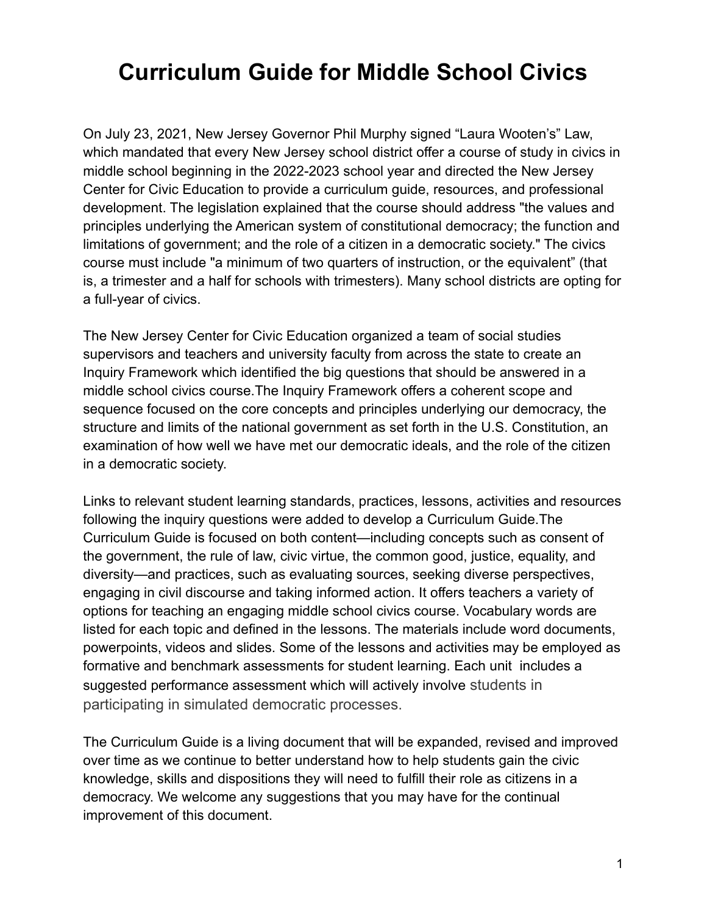# **Curriculum Guide for Middle School Civics**

On July 23, 2021, New Jersey Governor Phil Murphy signed "Laura Wooten's" Law, which mandated that every New Jersey school district offer a course of study in civics in middle school beginning in the 2022-2023 school year and directed the New Jersey Center for Civic Education to provide a curriculum guide, resources, and professional development. The legislation explained that the course should address "the values and principles underlying the American system of constitutional democracy; the function and limitations of government; and the role of a citizen in a democratic society." The civics course must include "a minimum of two quarters of instruction, or the equivalent" (that is, a trimester and a half for schools with trimesters). Many school districts are opting for a full-year of civics.

The New Jersey Center for Civic Education organized a team of social studies supervisors and teachers and university faculty from across the state to create an Inquiry Framework which identified the big questions that should be answered in a middle school civics course.The Inquiry Framework offers a coherent scope and sequence focused on the core concepts and principles underlying our democracy, the structure and limits of the national government as set forth in the U.S. Constitution, an examination of how well we have met our democratic ideals, and the role of the citizen in a democratic society.

Links to relevant student learning standards, practices, lessons, activities and resources following the inquiry questions were added to develop a Curriculum Guide.The Curriculum Guide is focused on both content—including concepts such as consent of the government, the rule of law, civic virtue, the common good, justice, equality, and diversity—and practices, such as evaluating sources, seeking diverse perspectives, engaging in civil discourse and taking informed action. It offers teachers a variety of options for teaching an engaging middle school civics course. Vocabulary words are listed for each topic and defined in the lessons. The materials include word documents, powerpoints, videos and slides. Some of the lessons and activities may be employed as formative and benchmark assessments for student learning. Each unit includes a suggested performance assessment which will actively involve students in participating in simulated democratic processes.

The Curriculum Guide is a living document that will be expanded, revised and improved over time as we continue to better understand how to help students gain the civic knowledge, skills and dispositions they will need to fulfill their role as citizens in a democracy. We welcome any suggestions that you may have for the continual improvement of this document.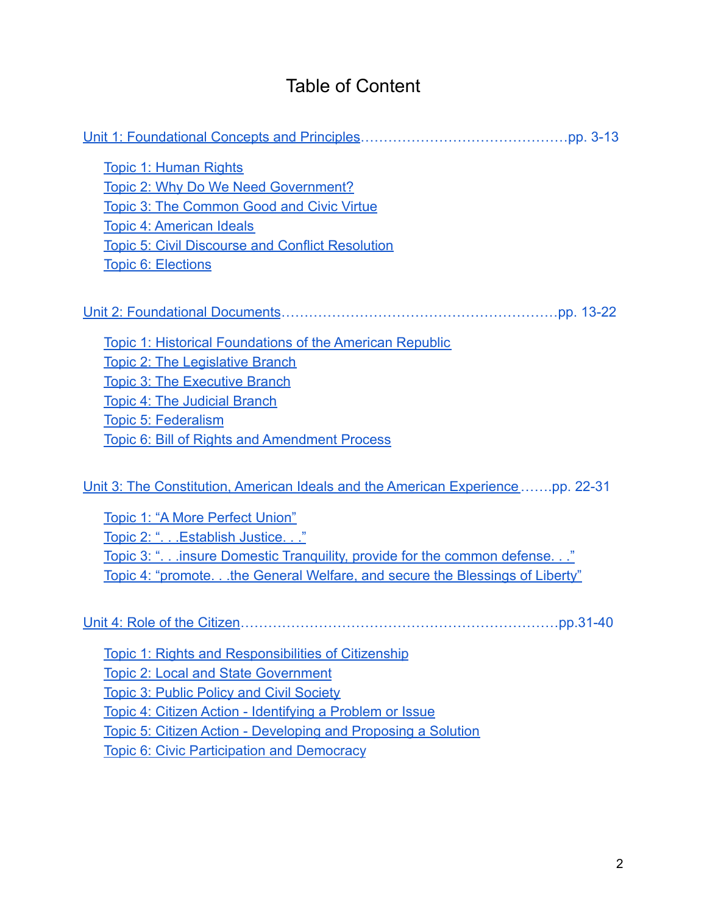## Table of Content

| <b>Topic 1: Human Rights</b>                                                   |
|--------------------------------------------------------------------------------|
| Topic 2: Why Do We Need Government?                                            |
| <b>Topic 3: The Common Good and Civic Virtue</b>                               |
| <b>Topic 4: American Ideals</b>                                                |
| <b>Topic 5: Civil Discourse and Conflict Resolution</b>                        |
| <b>Topic 6: Elections</b>                                                      |
|                                                                                |
| Topic 1: Historical Foundations of the American Republic                       |
| <b>Topic 2: The Legislative Branch</b>                                         |
| <b>Topic 3: The Executive Branch</b>                                           |
| <b>Topic 4: The Judicial Branch</b>                                            |
| Topic 5: Federalism                                                            |
| Topic 6: Bill of Rights and Amendment Process                                  |
| Unit 3: The Constitution, American Ideals and the American Experiencepp. 22-31 |
| Topic 1: "A More Perfect Union"                                                |
| Topic 2: ". Establish Justice."                                                |
| Topic 3: ".insure Domestic Tranguility, provide for the common defense."       |
| Topic 4: "promotethe General Welfare, and secure the Blessings of Liberty"     |
|                                                                                |
| <b>Topic 1: Rights and Responsibilities of Citizenship</b>                     |
| <b>Topic 2: Local and State Government</b>                                     |

[Topic 3: Public Policy and Civil Society](#page-34-0)

[Topic 4: Citizen Action - Identifying a Problem or Issue](#page-35-0)

[Topic 5: Citizen Action - Developing and Proposing a Solution](#page-36-0)

[Topic 6: Civic Participation and Democracy](#page-38-0)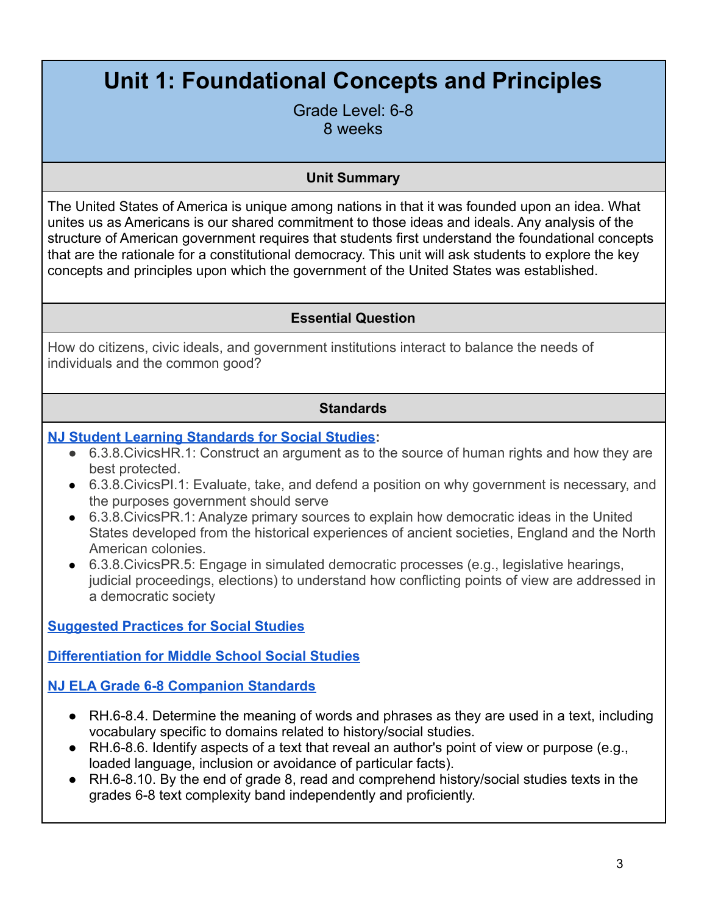# <span id="page-2-0"></span>**Unit 1: Foundational Concepts and Principles**

Grade Level: 6-8 8 weeks

### **Unit Summary**

The United States of America is unique among nations in that it was founded upon an idea. What unites us as Americans is our shared commitment to those ideas and ideals. Any analysis of the structure of American government requires that students first understand the foundational concepts that are the rationale for a constitutional democracy. This unit will ask students to explore the key concepts and principles upon which the government of the United States was established.

### **Essential Question**

How do citizens, civic ideals, and government institutions interact to balance the needs of individuals and the common good?

#### **Standards**

### **[NJ Student Learning Standards for Social Studies](https://www.state.nj.us/education/cccs/2020/2020%20NJSLS-SS.pdf):**

- 6.3.8. Civics HR. 1: Construct an argument as to the source of human rights and how they are best protected.
- 6.3.8.CivicsPI.1: Evaluate, take, and defend a position on why government is necessary, and the purposes government should serve
- 6.3.8.CivicsPR.1: Analyze primary sources to explain how democratic ideas in the United States developed from the historical experiences of ancient societies, England and the North American colonies.
- 6.3.8.CivicsPR.5: Engage in simulated democratic processes (e.g., legislative hearings, judicial proceedings, elections) to understand how conflicting points of view are addressed in a democratic society

**[Suggested Practices for Social Studies](https://civiced.rutgers.edu/resources/suggested-practices)**

**[Differentiation for Middle School Social Studies](https://civiced.rutgers.edu/documents/civics/middle-school-civics/104-differentiation-for-middle-school-social-studies)**

**[NJ ELA Grade 6-8 Companion Standards](https://www.state.nj.us/education/cccs/2016/ela/CompanionG0608.pdf)**

- RH.6-8.4. Determine the meaning of words and phrases as they are used in a text, including vocabulary specific to domains related to history/social studies.
- RH.6-8.6. Identify aspects of a text that reveal an author's point of view or purpose (e.g., loaded language, inclusion or avoidance of particular facts).
- RH.6-8.10. By the end of grade 8, read and comprehend history/social studies texts in the grades 6-8 text complexity band independently and proficiently.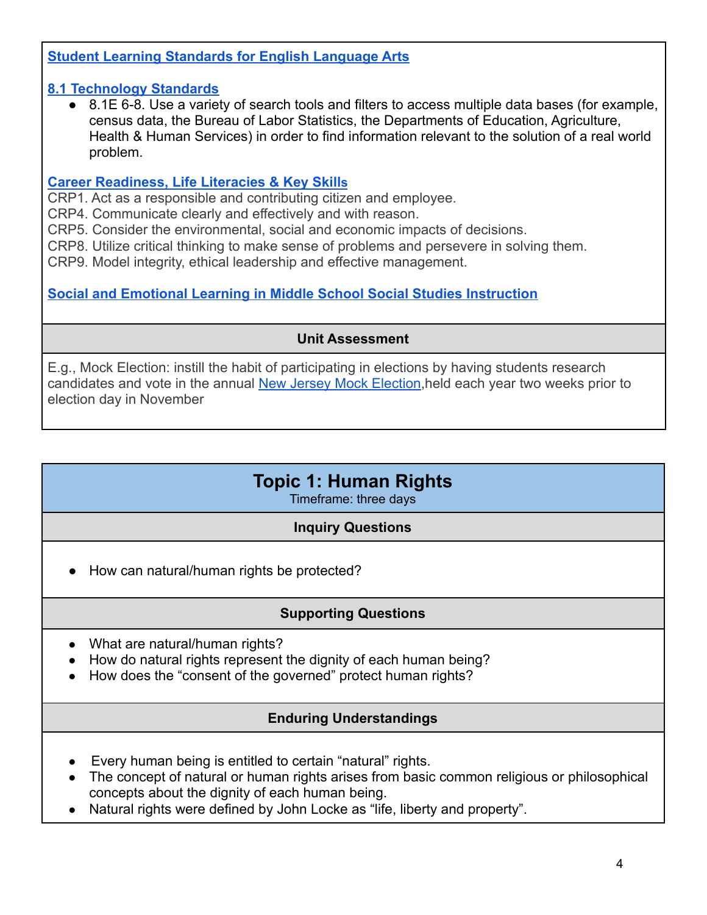## **[Student Learning Standards for English Language Arts](https://www.nj.gov/education/standards/ela/Index.shtml)**

### **[8.1 Technology Standards](https://www.nj.gov/education/archive/techno/s8at/tab03/tab3a.pdf)**

● 8.1E 6-8. Use a variety of search tools and filters to access multiple data bases (for example, census data, the Bureau of Labor Statistics, the Departments of Education, Agriculture, Health & Human Services) in order to find information relevant to the solution of a real world problem.

#### **[Career Readiness, Life Literacies & Key Skill](https://nam02.safelinks.protection.outlook.com/?url=https%3A%2F%2Fwww.nj.gov%2Feducation%2Fstandards%2Fclicks%2Findex.shtml&data=04%7C01%7Carlenega%40sas.rutgers.edu%7C9e79092e8e3b48d4de5508d9f252b38e%7Cb92d2b234d35447093ff69aca6632ffe%7C1%7C0%7C637807259425325282%7CUnknown%7CTWFpbGZsb3d8eyJWIjoiMC4wLjAwMDAiLCJQIjoiV2luMzIiLCJBTiI6Ik1haWwiLCJXVCI6Mn0%3D%7C3000&sdata=z2zmpJZi3%2BNJjXG5Th0BsBFB6rqOAZvX1ZdUzj0jzFo%3D&reserved=0)s**

CRP1. Act as a responsible and contributing citizen and employee.

CRP4. Communicate clearly and effectively and with reason.

CRP5. Consider the environmental, social and economic impacts of decisions.

CRP8. Utilize critical thinking to make sense of problems and persevere in solving them.

CRP9. Model integrity, ethical leadership and effective management.

## **[Social and Emotional Learning in Middle School Social Studies Instruction](https://www.casel.org/wp-content/uploads/2017/08/SEL-in-Middle-School-Social-Studies-8-20-17.pdf)**

## **Unit Assessment**

E.g., Mock Election: instill the habit of participating in elections by having students research candidates and vote in the annual [New Jersey Mock](https://njmockelection.org/) Election,held each year two weeks prior to election day in November

## **Topic 1: Human Rights**

Timeframe: three days

### **Inquiry Questions**

● How can natural/human rights be protected?

### **Supporting Questions**

- What are natural/human rights?
- How do natural rights represent the dignity of each human being?
- How does the "consent of the governed" protect human rights?

### **Enduring Understandings**

- Every human being is entitled to certain "natural" rights.
- The concept of natural or human rights arises from basic common religious or philosophical concepts about the dignity of each human being.
- Natural rights were defined by John Locke as "life, liberty and property".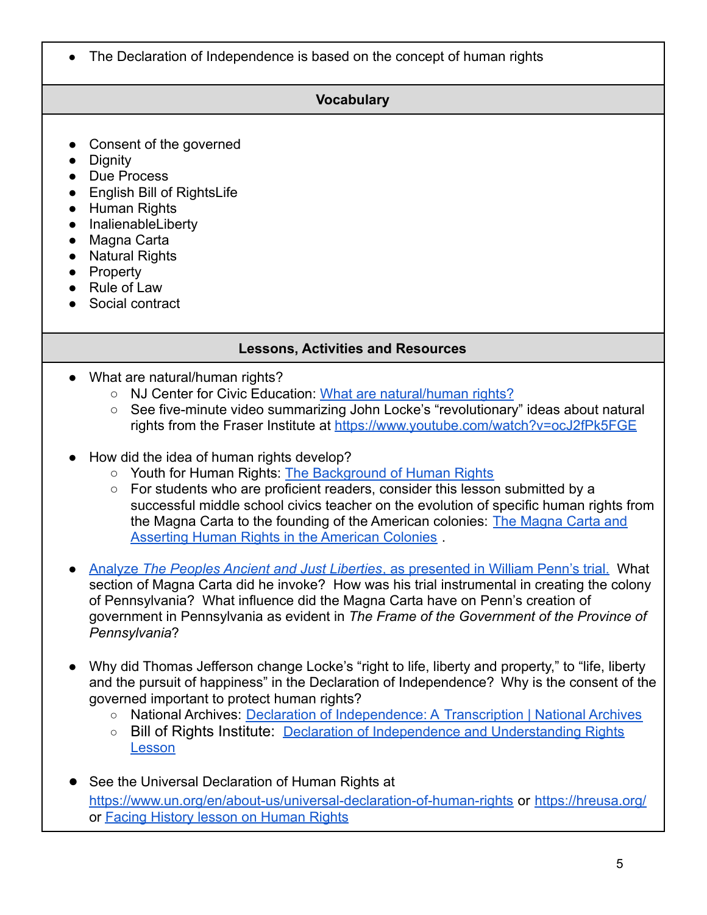The Declaration of Independence is based on the concept of human rights

## **Vocabulary**

- Consent of the governed
- Dignity
- Due Process
- English Bill of RightsLife
- Human Rights
- InalienableLiberty
- Magna Carta
- Natural Rights
- Property
- Rule of Law
- Social contract

## **Lessons, Activities and Resources**

- What are natural/human rights?
	- NJ Center for Civic Education: [What are natural/human](https://civiced.rutgers.edu/documents/civics/middle-school-civics/civic-concepts/85-natural-human-rights/file) rights?
	- See five-minute video summarizing John Locke's "revolutionary" ideas about natural rights from the Fraser Institute at <https://www.youtube.com/watch?v=ocJ2fPk5FGE>
- How did the idea of human rights develop?
	- Youth for Human Rights: [The Background of Human Rights](https://www.youthforhumanrights.org/course/lesson/background-of-human-rights/the-background-of-human-rights.html)
	- For students who are proficient readers, consider this lesson submitted by a successful middle school civics teacher on the evolution of specific human rights from the Magna Carta to the founding of the American colonies: [The Magna Carta and](https://rutgersconnect.sharepoint.com/:w:/r/sites/MiddleSchoolCivicsLegislation/Shared%20Documents/William%20Penn-Magna%20Carta%20Lesson1.docx?d=w985cc033275a44faa3e55221faabc53f&csf=1&web=1&e=XRaluo) [Asserting Human Rights in the American Colonies](https://rutgersconnect.sharepoint.com/:w:/r/sites/MiddleSchoolCivicsLegislation/Shared%20Documents/William%20Penn-Magna%20Carta%20Lesson1.docx?d=w985cc033275a44faa3e55221faabc53f&csf=1&web=1&e=XRaluo) .
- Analyze *[The Peoples Ancient and Just Liberties](https://docs.google.com/document/d/1CMdgr0_uaZChfdC2r2M1HW2KDVcbeKKCmcg09twbTRk/edit?usp=sharing)*, as presented in William Penn's trial. What section of Magna Carta did he invoke? How was his trial instrumental in creating the colony of Pennsylvania? What influence did the Magna Carta have on Penn's creation of government in Pennsylvania as evident in *The Frame of the Government of the Province of Pennsylvania*?
- Why did Thomas Jefferson change Locke's "right to life, liberty and property," to "life, liberty and the pursuit of happiness" in the Declaration of Independence? Why is the consent of the governed important to protect human rights?
	- National Archives: Declaration of Independence: A [Transcription | National Archives](https://www.archives.gov/founding-docs/declaration-transcript)
	- Bill of Rights Institute: [Declaration of Independence](https://resources.billofrightsinstitute.org/being-an-american/declaration-independence/) and Understanding Rights [Lesson](https://resources.billofrightsinstitute.org/being-an-american/declaration-independence/)
- See the Universal Declaration of Human Rights at <https://www.un.org/en/about-us/universal-declaration-of-human-rights> or <https://hreusa.org/> or [Facing History lesson on Human Rights](https://www.facinghistory.org/resource-library/universal-declaration-human-rights/what-right)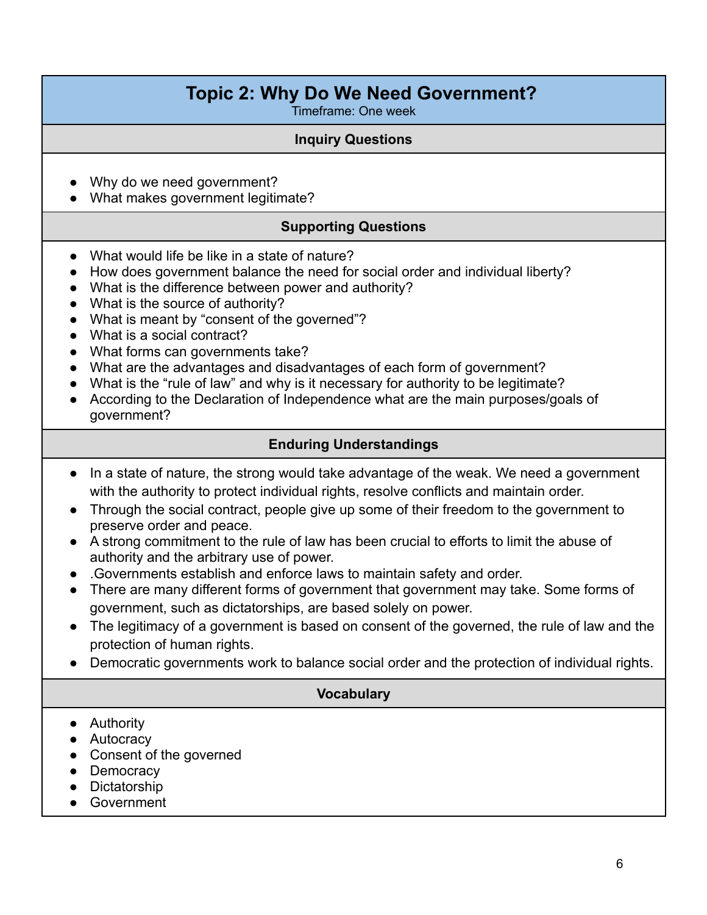## **Topic 2: Why Do We Need Government?**

Timeframe: One week

#### **Inquiry Questions**

- Why do we need government?
- What makes government legitimate?

#### **Supporting Questions**

- What would life be like in a state of nature?
- How does government balance the need for social order and individual liberty?
- What is the difference between power and authority?
- What is the source of authority?
- What is meant by "consent of the governed"?
- What is a social contract?
- What forms can governments take?
- What are the advantages and disadvantages of each form of government?
- What is the "rule of law" and why is it necessary for authority to be legitimate?
- According to the Declaration of Independence what are the main purposes/goals of government?

#### **Enduring Understandings**

- In a state of nature, the strong would take advantage of the weak. We need a government with the authority to protect individual rights, resolve conflicts and maintain order.
- Through the social contract, people give up some of their freedom to the government to preserve order and peace.
- A strong commitment to the rule of law has been crucial to efforts to limit the abuse of authority and the arbitrary use of power.
- .Governments establish and enforce laws to maintain safety and order.
- There are many different forms of government that government may take. Some forms of government, such as dictatorships, are based solely on power.
- The legitimacy of a government is based on consent of the governed, the rule of law and the protection of human rights.
- Democratic governments work to balance social order and the protection of individual rights.

#### **Vocabulary**

- Authority
- Autocracy
- Consent of the governed
- Democracy
- Dictatorship
- Government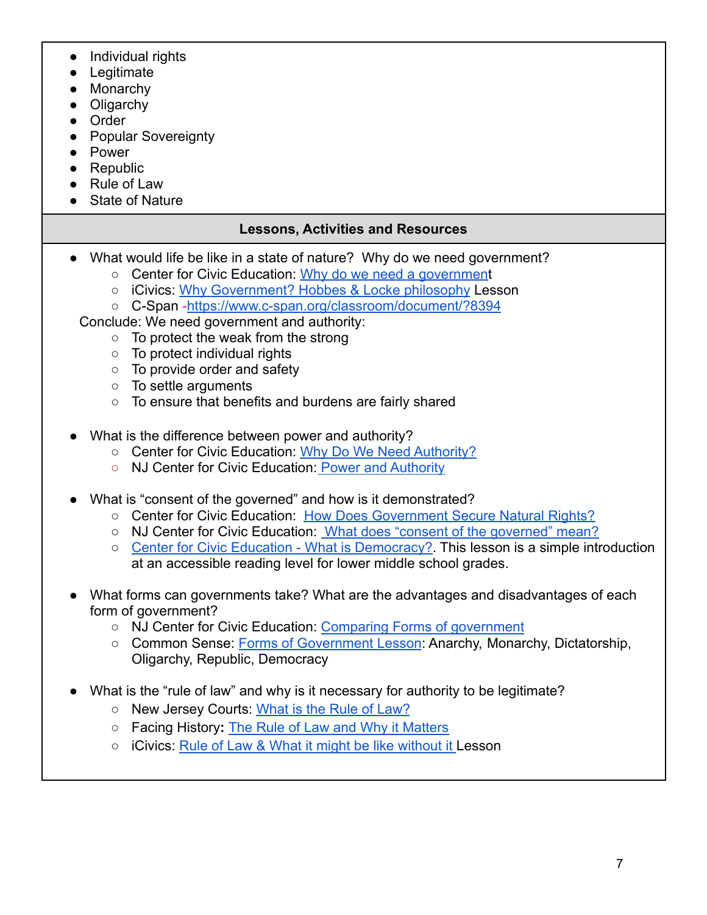- Individual rights
- Legitimate
- Monarchy
- Oligarchy
- Order
- Popular Sovereignty
- Power
- Republic
- Rule of Law
- State of Nature

## **Lessons, Activities and Resources**

- What would life be like in a state of nature? Why do we need government?
	- Center for Civic Education: [Why do we need a government](https://www.civiced.org/lessons/why-do-we-need-a-government)
	- iCivics: [Why Government? Hobbes & Locke philosophy](https://www.icivics.org/teachers/lesson-plans/why-government) Lesson
	- C-Span [-https://www.c-span.org/classroom/document/?8394](https://www.c-span.org/classroom/document/?8394)

Conclude: We need government and authority:

- To protect the weak from the strong
- To protect individual rights
- To provide order and safety
- To settle arguments
- To ensure that benefits and burdens are fairly shared
- What is the difference between power and authority?
	- Center for Civic Education: [Why Do We Need Authority?](https://www.civiced.org/lessons/why-do-we-need-authority)
	- NJ Center for Civic Education: [Power and Authority](https://civiced.rutgers.edu/documents/civics/middle-school-civics/civic-concepts/91-power-and-authority/file)
- What is "consent of the governed" and how is it demonstrated?
	- Center for Civic Education: [How Does Government Secure](https://www.civiced.org/lessons/how-does-government-secure-natural-rights) Natural Rights?
	- NJ Center for Civic Education: What does "consent [of the governed" mean?](https://civiced.rutgers.edu/documents/civics/middle-school-civics/civic-concepts/81-consent-of-the-governed/file)
	- [Center for Civic Education What is Democracy?.](https://files.civiced.org/books/wtp/citdem/WethePeople_CitizenAndDemocracy_Lesson5.pdf) This lesson is a simple introduction at an accessible reading level for lower middle school grades.
- What forms can governments take? What are the advantages and disadvantages of each form of government?
	- NJ Center for Civic Education: [Comparing Forms of](https://civiced.rutgers.edu/documents/civics/middle-school-civics/civic-concepts/99-forms-of-government/file) government
	- Common Sense: [Forms of Government Lesson](https://www.commonsense.org/education/lesson-plans/forms-of-government): Anarchy, Monarchy, Dictatorship, Oligarchy, Republic, Democracy
- What is the "rule of law" and why is it necessary for authority to be legitimate?
	- New Jersey Courts: [What is the Rule of Law?](https://civiced.rutgers.edu/documents/civics/middle-school-civics/civic-concepts/93-the-rule-of-law/file)
	- Facing History**:** [The Rule of Law and Why it Matters](https://www.facinghistory.org/resource-library/rule-law-and-why-it-matters)
	- iCivics: [Rule of Law & What it might be like without](https://www.icivics.org/teachers/lesson-plans/rule-law) it Lesson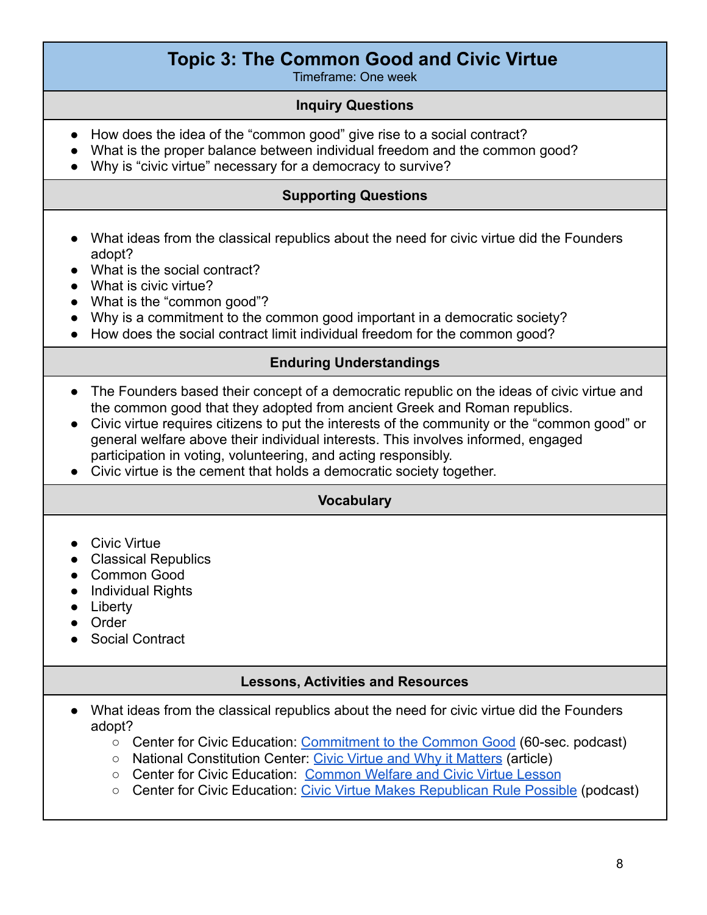## **Topic 3: The Common Good and Civic Virtue**

Timeframe: One week

#### **Inquiry Questions**

- How does the idea of the "common good" give rise to a social contract?
- What is the proper balance between individual freedom and the common good?
- Why is "civic virtue" necessary for a democracy to survive?

#### **Supporting Questions**

- What ideas from the classical republics about the need for civic virtue did the Founders adopt?
- What is the social contract?
- What is civic virtue?
- What is the "common good"?
- Why is a commitment to the common good important in a democratic society?
- How does the social contract limit individual freedom for the common good?

#### **Enduring Understandings**

- The Founders based their concept of a democratic republic on the ideas of civic virtue and the common good that they adopted from ancient Greek and Roman republics.
- Civic virtue requires citizens to put the interests of the community or the "common good" or general welfare above their individual interests. This involves informed, engaged participation in voting, volunteering, and acting responsibly.
- Civic virtue is the cement that holds a democratic society together.

### **Vocabulary**

- Civic Virtue
- Classical Republics
- Common Good
- Individual Rights
- Liberty
- Order
- Social Contract

### **Lessons, Activities and Resources**

- What ideas from the classical republics about the need for civic virtue did the Founders adopt[?](https://docs.google.com/document/d/1xn5V2Gh0SVxN8D2TaAFVWKPnhlbOf-yqPfC52KcKNsQ/edit)
	- Center for Civic Education: [Commitment to the Common](http://files.civiced.org/podcasts/60SecondCivics/60SecondCivics-Episode3732.mp3) Good (60-sec. podcast)
	- National Constitution Center: [Civic Virtue and Why](https://constitutioncenter.org/blog/civic-virtue-and-why-it-matters#:~:text=Civic%20virtue%20describes%20the%20character,of%20its%20values%20and%20principles.) it Matters (article)
	- Center for Civic Education: [Common Welfare and Civic](http://civiced.org/lessons/lesson-3-what-is-a-republican-government) Virtue Lesson
	- Center for Civic Education: [Civic Virtue Makes Republican](http://files.civiced.org/podcasts/60SecondCivics/60SecondCivics-Episode3836.mp3) Rule Possible (podcast)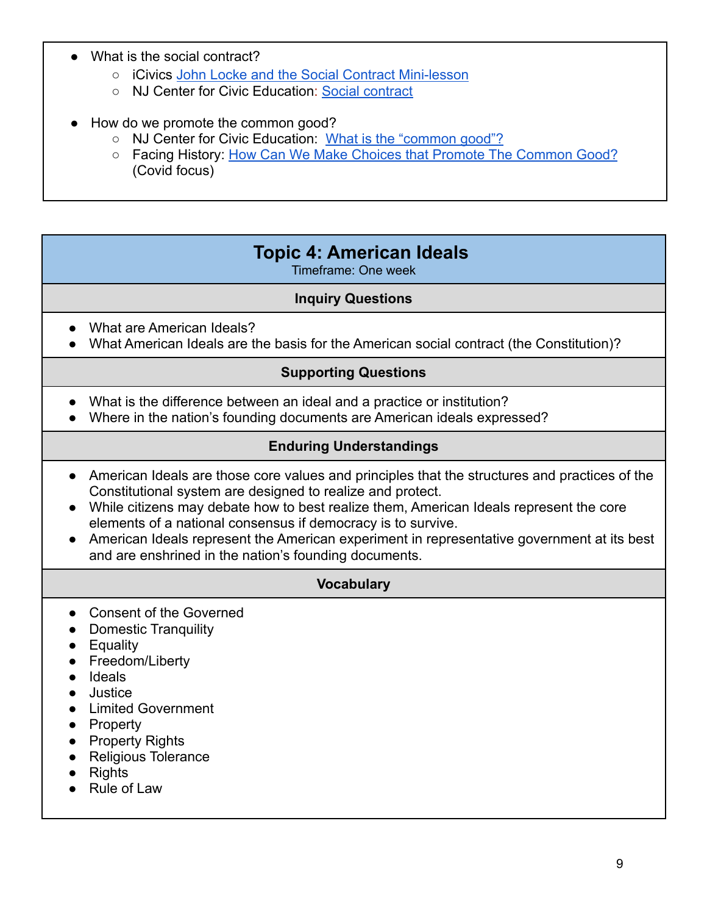- What is the social contract?
	- o iCivics [John Locke and the Social Contract Mini-lesson](https://www.icivics.org/teachers/lesson-plans/john-locke-mini-lesson)
	- NJ Center for Civic Education: [Social contract](https://civiced.rutgers.edu/documents/civics/middle-school-civics/civic-concepts/94-social-contract-theory/file)
- How do we promote the common good?
	- NJ Center for Civic Education: [What is the "common](https://civiced.rutgers.edu/documents/civics/middle-school-civics/civic-concepts/88-what-is-the-common-good/file) good"?
	- Facing History: [How Can We Make Choices that Promote](https://www.facinghistory.org/educator-resources/current-events/covid-19-how-can-we-make-choices-promote-common-good) The Common Good? (Covid focus)

## **Topic 4: American Ideals**

Timeframe: One week

#### **Inquiry Questions**

- <span id="page-8-0"></span>• What are American Ideals?
- What American Ideals are the basis for the American social contract (the Constitution)?

#### **Supporting Questions**

- What is the difference between an ideal and a practice or institution?
- Where in the nation's founding documents are American ideals expressed?

#### **Enduring Understandings**

- American Ideals are those core values and principles that the structures and practices of the Constitutional system are designed to realize and protect.
- While citizens may debate how to best realize them, American Ideals represent the core elements of a national consensus if democracy is to survive.
- American Ideals represent the American experiment in representative government at its best and are enshrined in the nation's founding documents.

#### **Vocabulary**

- Consent of the Governed
- Domestic Tranquility
- Equality
- Freedom/Liberty
- Ideals
- Justice
- Limited Government
- Property
- Property Rights
- Religious Tolerance
- Rights
- Rule of Law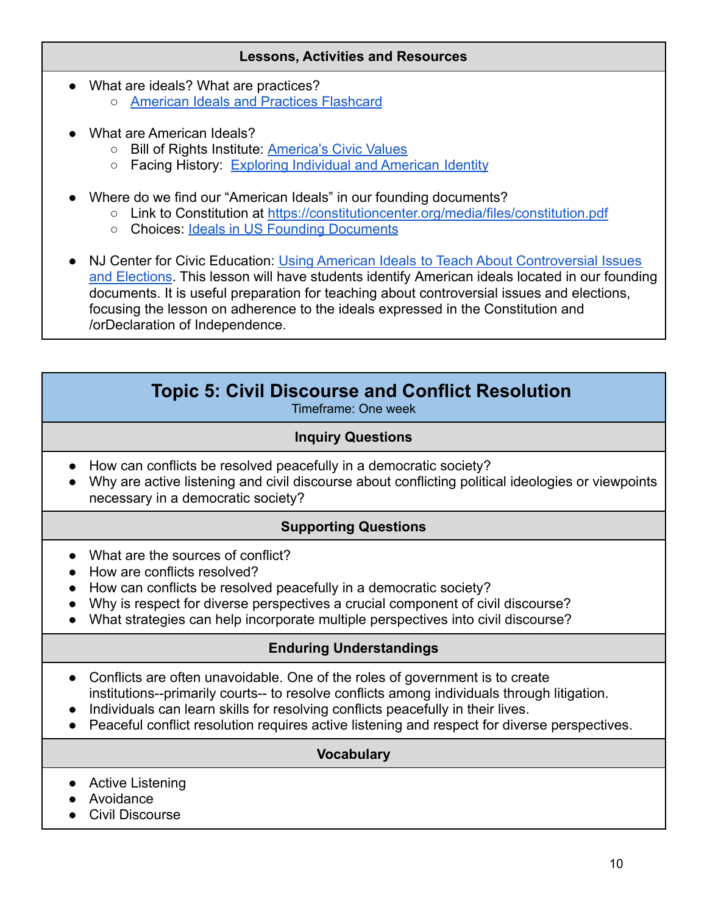#### **Lessons, Activities and Resources**

- What are ideals? What are practices? ○ [American Ideals and Practices Flashcard](https://docs.google.com/presentation/d/1c7fT_6rVVo-1M2GWiXmIsFTI9GTi4RQpyq9X8LojHbc/edit?usp=sharing)
- What are American Ideals?
	- Bill of Rights Institute: [America's Civic Values](https://resources.billofrightsinstitute.org/being-an-american/americas-civic-values/)
	- Facing History: [Exploring Individual and American](https://www.facinghistory.org/american-creed/for-educators/exploring-individual-and-american-identity) Identity
- Where do we find our "American Ideals" in our founding documents?
	- Link to Constitution at <https://constitutioncenter.org/media/files/constitution.pdf>
	- o Choices: [Ideals in US Founding Documents](https://www.choices.edu/curriculum-catalog/ideals-u-s-founding-documents/)

● NJ Center for Civic Education: Using American Ideals [to Teach About Controversial Issues](https://docs.google.com/document/d/1DO6LFxvBLf_akY3WqxDpHN-38WC_2pGQ_fwfs1Vw3Qg/edit?usp=sharing) [and Elections](https://docs.google.com/document/d/1DO6LFxvBLf_akY3WqxDpHN-38WC_2pGQ_fwfs1Vw3Qg/edit?usp=sharing). This lesson will have students identify American ideals located in our founding documents. It is useful preparation for teaching about controversial issues and elections, focusing the lesson on adherence to the ideals expressed in the Constitution and /orDeclaration of Independence.

## **Topic 5: Civil Discourse and Conflict Resolution**

Timeframe: One week

#### **Inquiry Questions**

- <span id="page-9-0"></span>● How can conflicts be resolved peacefully in a democratic society?
- Why are active listening and civil discourse about conflicting political ideologies or viewpoints necessary in a democratic society?

### **Supporting Questions**

- What are the sources of conflict?
- How are conflicts resolved?
- How can conflicts be resolved peacefully in a democratic society?
- Why is respect for diverse perspectives a crucial component of civil discourse?
- What strategies can help incorporate multiple perspectives into civil discourse?

## **Enduring Understandings**

- Conflicts are often unavoidable. One of the roles of government is to create institutions--primarily courts-- to resolve conflicts among individuals through litigation.
- Individuals can learn skills for resolving conflicts peacefully in their lives.
- Peaceful conflict resolution requires active listening and respect for diverse perspectives.

#### **Vocabulary**

- Active Listening
- Avoidance
- Civil Discourse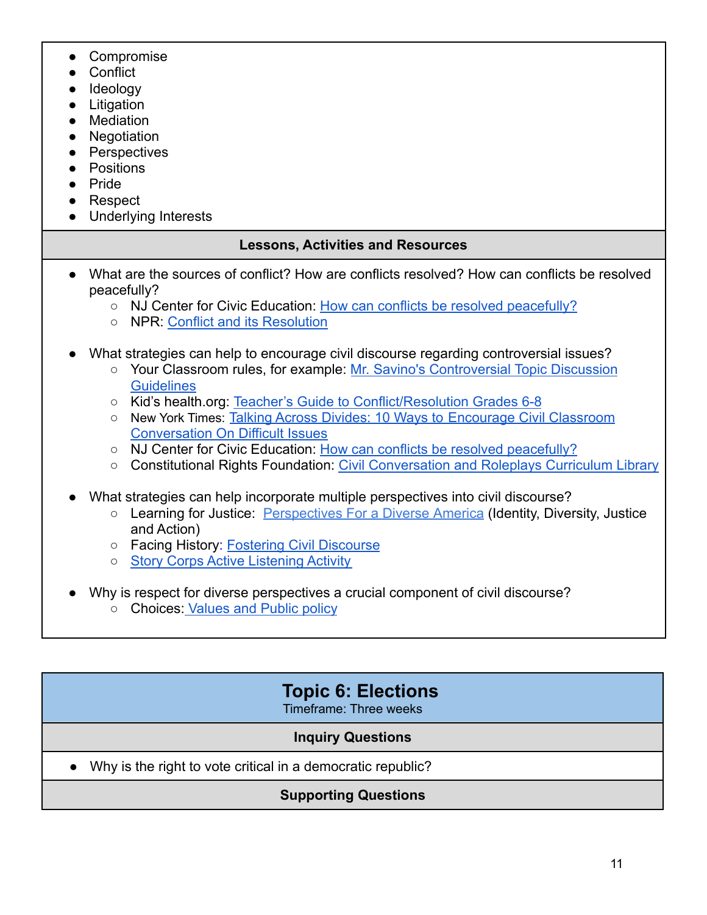- Compromise
- Conflict
- Ideology
- Litigation
- Mediation
- Negotiation
- Perspectives
- Positions
- Pride
- Respect
- Underlying Interests

## **Lessons, Activities and Resources**

- What are the sources of conflict? How are conflicts resolved? How can conflicts be resolved peacefully?
	- NJ Center for Civic Education: [How can conflicts be](https://civiced.rutgers.edu/documents/conflict-resolution/74-how-can-conflicts-be-resolved-peacefully) resolved peacefully?
	- NPR: [Conflict and its Resolution](https://www.nps.gov/teachers/classrooms/upload/Conflict-The-Eisenhower-Years-Lesson-1-Complete-LP.pdf)
- What strategies can help to encourage civil discourse regarding controversial issues?
	- Your Classroom rules, for example: [Mr. Savino's Controversial](https://docs.google.com/document/d/17fjvNO7mS85WyAm_52MIf8suSvgxVrpYKokDS0LuGNM/edit?usp=copy) Topic Discussion **[Guidelines](https://docs.google.com/document/d/17fjvNO7mS85WyAm_52MIf8suSvgxVrpYKokDS0LuGNM/edit?usp=copy)**
	- Kid's health.org: [Teacher's Guide to Conflict/Resolution](https://classroom.kidshealth.org/classroom/6to8/personal/growing/conflict_resolution.pdf) Grades 6-8
	- New York Times: [Talking Across Divides: 10 Ways to](https://www.nytimes.com/2016/09/28/learning/lesson-plans/talking-across-divides-10-ways-to-encourage-civil-classroom-conversation-on-difficult-issues.html) Encourage Civil Classroom [Conversation On Difficult Issues](https://www.nytimes.com/2016/09/28/learning/lesson-plans/talking-across-divides-10-ways-to-encourage-civil-classroom-conversation-on-difficult-issues.html)
	- NJ Center for Civic Education: [How can conflicts be](https://civiced.rutgers.edu/documents/conflict-resolution/74-how-can-conflicts-be-resolved-peacefully) resolved peacefully?
	- Constitutional Rights Foundation: Civil Conversation [and Roleplays Curriculum Library](https://www.crf-usa.org/t2t/curriculum-library)
- What strategies can help incorporate multiple perspectives into civil discourse?
	- Learning for Justice: [Perspectives For a Diverse](https://www.learningforjustice.org/sites/default/files/general/Perspectives%20for%20a%20Diverse%20America%20User%20Experience.pdf) America (Identity, Diversity, Justice and Action)
	- Facing History: [Fostering Civil Discourse](https://www.facinghistory.org/books-borrowing/fostering-civil-discourse-how-do-we-talk-about-issues-matter)
	- [Story Corps Active Listening Activity](https://storycorps.org/discover/education/lesson-the-power-of-active-listening/)
- Why is respect for diverse perspectives a crucial component of civil discourse?
	- Choices: [Values and Public policy](https://www.choices.edu/teaching-news-lesson/values-public-policy/)

## **Topic 6: Elections**

Timeframe: Three weeks

## **Inquiry Questions**

<span id="page-10-0"></span>● Why is the right to vote critical in a democratic republic?

## **Supporting Questions**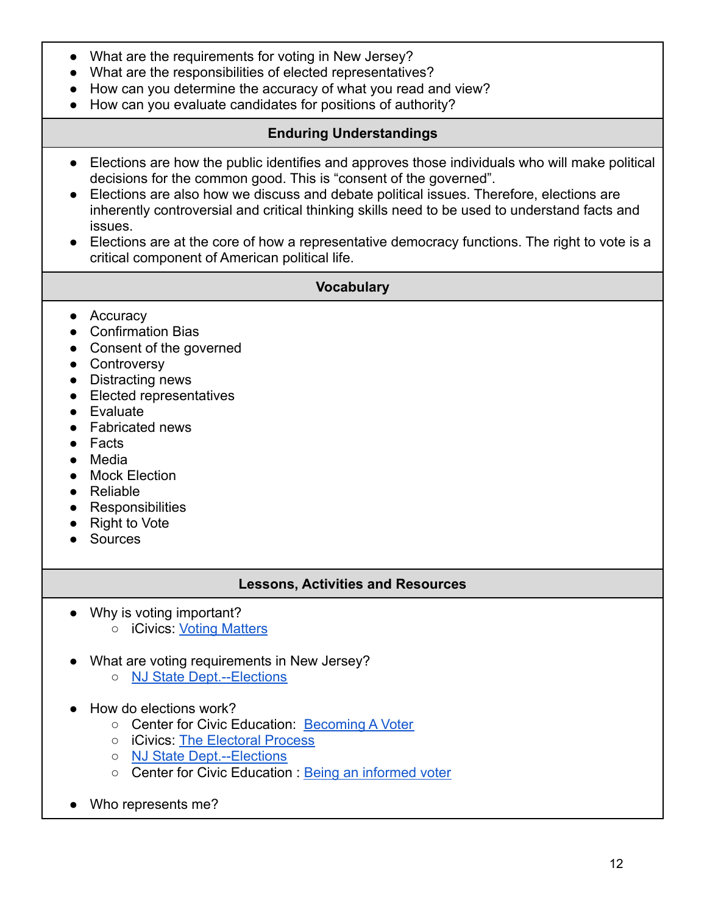- What are the requirements for voting in New Jersey?
- What are the responsibilities of elected representatives?
- How can you determine the accuracy of what you read and view?
- How can you evaluate candidates for positions of authority?

#### **Enduring Understandings**

- Elections are how the public identifies and approves those individuals who will make political decisions for the common good. This is "consent of the governed".
- Elections are also how we discuss and debate political issues. Therefore, elections are inherently controversial and critical thinking skills need to be used to understand facts and issues.
- Elections are at the core of how a representative democracy functions. The right to vote is a critical component of American political life.

#### **Vocabulary**

- Accuracy
- Confirmation Bias
- Consent of the governed
- Controversy
- Distracting news
- Elected representatives
- Evaluate
- Fabricated news
- Facts
- Media
- Mock Election
- Reliable
- Responsibilities
- Right to Vote
- Sources

### **Lessons, Activities and Resources**

- Why is voting important?
	- o iCivics: [Voting Matters](https://www.icivics.org/teachers/lesson-plans/voting-matters-activity)
- What are voting requirements in New Jersey?
	- [NJ State Dept.--Elections](https://www.state.nj.us/state/elections/voter-registration.shtml)
- How do elections work?
	- Center for Civic Education: [Becoming A Voter](https://www.civiced.org/voting-lessons/lesson-becoming-a-voter)
	- iCivics: [The Electoral Process](https://www.icivics.org/teachers/lesson-plans/electoral-process)
	- [NJ State Dept.--Elections](https://www.state.nj.us/state/elections/voter-registration.shtml)
	- Center for Civic Education : [Being an informed voter](https://www.civiced.org/voting-lessons/middle/lesson-being-an-informed-voter)
- Who represents me?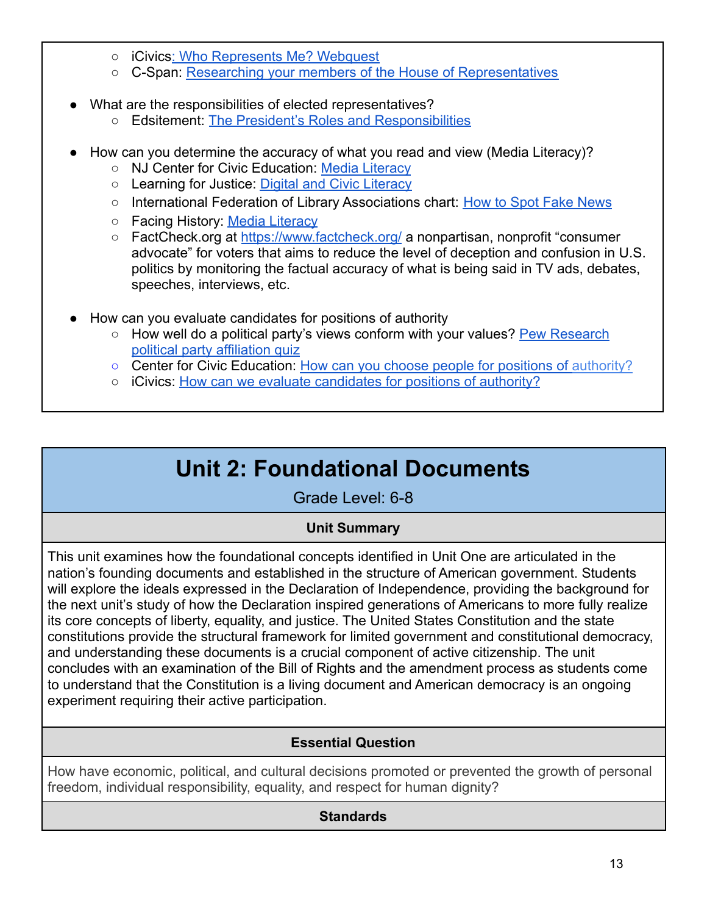- iCivics[: Who Represents Me? Webquest](https://www.icivics.org/node/178818/resource?keywords=do%20i%20have%20a%20right&type&page&referer=search-results&page_title=Search%20Results)
- C-Span: [Researching your members of the House of Representatives](https://www.c-span.org/classroom/document/?17356)
- What are the responsibilities of elected representatives?
	- Edsitement: [The President's Roles and Responsibilities](https://edsitement.neh.gov/lesson-plans/presidents-roles-and-responsibilities-understanding-presidents-job)
- How can you determine the accuracy of what you read and view (Media Literacy)?
	- NJ Center for Civic Education: [Media Literacy](https://civiced.rutgers.edu/resources/media-literacy)
	- o Learning for Justice: [Digital and Civic Literacy](https://www.tolerance.org/frameworks/digital-literacy?utm_source=Teaching+Tolerance&utm_campaign=9a7f69e574-EMAIL_CAMPAIGN_2017_10_20&utm_medium=email&utm_term=0_a8cea027c3-9a7f69e574-83566403)
	- International Federation of Library Associations chart: [How to Spot Fake News](https://repository.ifla.org/handle/123456789/167)
	- Facing History: [Media Literacy](https://www.facinghistory.org/topics/democracy-civic-engagement/media-literacy)
	- FactCheck.org at <https://www.factcheck.org/> a nonpartisan, nonprofit "consumer advocate" for voters that aims to reduce the level of deception and confusion in U.S. politics by monitoring the factual accuracy of what is being said in TV ads, debates, speeches, interviews, etc.
- How can you evaluate candidates for positions of authority
	- How well do a political party's views conform with your values? [Pew Research](https://www.pewresearch.org/politics/quiz/political-typology/) [political party affiliation quiz](https://www.pewresearch.org/politics/quiz/political-typology/)
	- Center for Civic Education: [How can you choose people](https://www.civiced.org/lessons/fod-elem-lesson-5) for positions of authority?
	- iCivics: [How can we evaluate candidates for positions](https://www.icivics.org/teachers/lesson-plans/candidate-evaluation) of authority?

# **Unit 2: Foundational Documents**

Grade Level: 6-8

## **Unit Summary**

<span id="page-12-0"></span>This unit examines how the foundational concepts identified in Unit One are articulated in the nation's founding documents and established in the structure of American government. Students will explore the ideals expressed in the Declaration of Independence, providing the background for the next unit's study of how the Declaration inspired generations of Americans to more fully realize its core concepts of liberty, equality, and justice. The United States Constitution and the state constitutions provide the structural framework for limited government and constitutional democracy, and understanding these documents is a crucial component of active citizenship. The unit concludes with an examination of the Bill of Rights and the amendment process as students come to understand that the Constitution is a living document and American democracy is an ongoing experiment requiring their active participation.

## **Essential Question**

How have economic, political, and cultural decisions promoted or prevented the growth of personal freedom, individual responsibility, equality, and respect for human dignity?

## **Standards**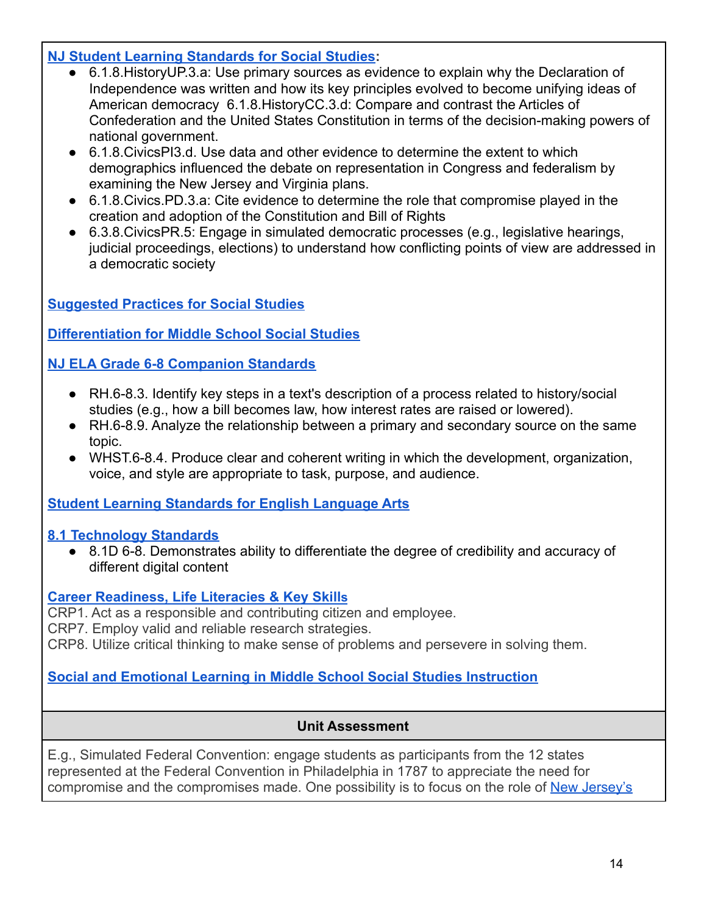## **[NJ Student Learning Standards for Social Studies](https://www.state.nj.us/education/cccs/2020/2020%20NJSLS-SS.pdf):**

- 6.1.8. History UP.3.a: Use primary sources as evidence to explain why the Declaration of Independence was written and how its key principles evolved to become unifying ideas of American democracy 6.1.8.HistoryCC.3.d: Compare and contrast the Articles of Confederation and the United States Constitution in terms of the decision-making powers of national government.
- 6.1.8. Civics PI3.d. Use data and other evidence to determine the extent to which demographics influenced the debate on representation in Congress and federalism by examining the New Jersey and Virginia plans.
- 6.1.8.Civics.PD.3.a: Cite evidence to determine the role that compromise played in the creation and adoption of the Constitution and Bill of Rights
- 6.3.8.CivicsPR.5: Engage in simulated democratic processes (e.g., legislative hearings, judicial proceedings, elections) to understand how conflicting points of view are addressed in a democratic society

## **[Suggested Practices for Social Studies](https://civiced.rutgers.edu/resources/suggested-practices)**

**[Differentiation for Middle School Social Studies](https://civiced.rutgers.edu/documents/civics/middle-school-civics/104-differentiation-for-middle-school-social-studies)**

## **[NJ ELA Grade 6-8 Companion Standards](https://www.state.nj.us/education/cccs/2016/ela/CompanionG0608.pdf)**

- RH.6-8.3. Identify key steps in a text's description of a process related to history/social studies (e.g., how a bill becomes law, how interest rates are raised or lowered).
- RH.6-8.9. Analyze the relationship between a primary and secondary source on the same topic.
- WHST.6-8.4. Produce clear and coherent writing in which the development, organization, voice, and style are appropriate to task, purpose, and audience.

### **[Student Learning Standards for English Language Arts](https://www.nj.gov/education/standards/ela/Index.shtml)**

### **[8.1 Technology Standards](https://www.nj.gov/education/archive/techno/s8at/tab03/tab3a.pdf)**

● 8.1D 6-8. Demonstrates ability to differentiate the degree of credibility and accuracy of different digital content

### **[Career Readiness, Life Literacies & Key Skill](https://nam02.safelinks.protection.outlook.com/?url=https%3A%2F%2Fwww.nj.gov%2Feducation%2Fstandards%2Fclicks%2Findex.shtml&data=04%7C01%7Carlenega%40sas.rutgers.edu%7C9e79092e8e3b48d4de5508d9f252b38e%7Cb92d2b234d35447093ff69aca6632ffe%7C1%7C0%7C637807259425325282%7CUnknown%7CTWFpbGZsb3d8eyJWIjoiMC4wLjAwMDAiLCJQIjoiV2luMzIiLCJBTiI6Ik1haWwiLCJXVCI6Mn0%3D%7C3000&sdata=z2zmpJZi3%2BNJjXG5Th0BsBFB6rqOAZvX1ZdUzj0jzFo%3D&reserved=0)s**

CRP1. Act as a responsible and contributing citizen and employee.

CRP7. Employ valid and reliable research strategies.

CRP8. Utilize critical thinking to make sense of problems and persevere in solving them.

### **[Social and Emotional Learning in Middle School Social Studies Instruction](https://www.casel.org/wp-content/uploads/2017/08/SEL-in-Middle-School-Social-Studies-8-20-17.pdf)**

### **Unit Assessment**

E.g., Simulated Federal Convention: engage students as participants from the 12 states represented at the Federal Convention in Philadelphia in 1787 to appreciate the need for compromise and the compromises made. One possibility is to focus on the role of [New Jersey's](https://civiced.rutgers.edu/documents/nj-lessons/for-grades-6-8/17-new-jersey-and-the-federal-convention-1787/file)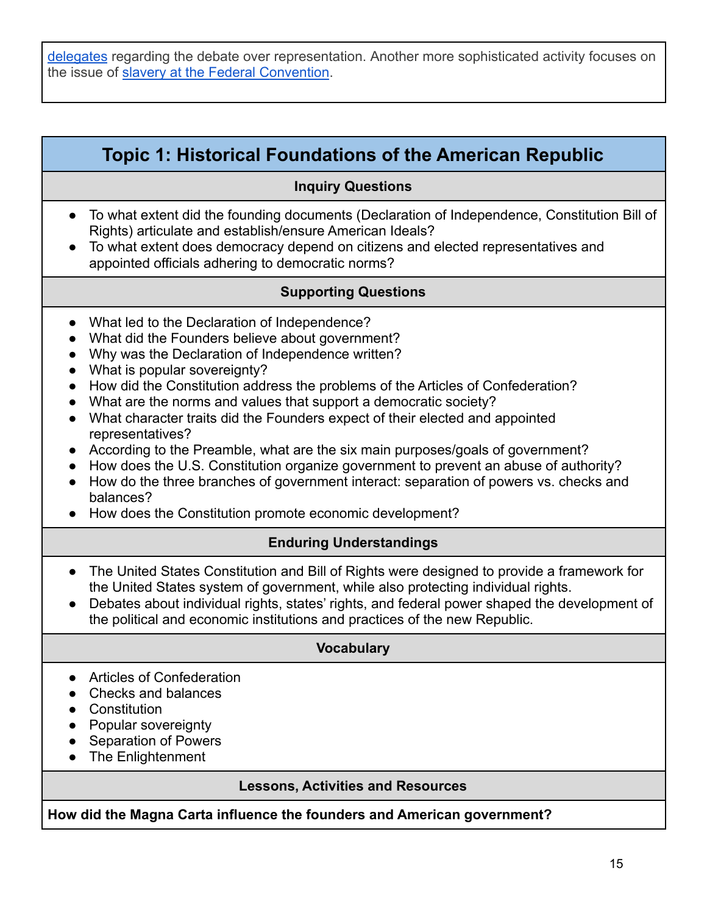[delegates](https://civiced.rutgers.edu/documents/nj-lessons/for-grades-6-8/17-new-jersey-and-the-federal-convention-1787/file) regarding the debate over representation. Another more sophisticated activity focuses on the issue of [slavery at the Federal Convention](https://civiced.rutgers.edu/documents/conflict-resolution/volume-one-the-colonial-period-through-reconstruction/109-the-federal-convention-of-178).

## **Topic 1: Historical Foundations of the American Republic**

#### **Inquiry Questions**

- To what extent did the founding documents (Declaration of Independence, Constitution Bill of Rights) articulate and establish/ensure American Ideals?
- To what extent does democracy depend on citizens and elected representatives and appointed officials adhering to democratic norms?

#### **Supporting Questions**

- What led to the Declaration of Independence?
- What did the Founders believe about government?
- Why was the Declaration of Independence written?
- What is popular sovereignty?
- How did the Constitution address the problems of the Articles of Confederation?
- What are the norms and values that support a democratic society?
- What character traits did the Founders expect of their elected and appointed representatives?
- According to the Preamble, what are the six main purposes/goals of government?
- How does the U.S. Constitution organize government to prevent an abuse of authority?
- How do the three branches of government interact: separation of powers vs. checks and balances?
- How does the Constitution promote economic development?

#### **Enduring Understandings**

- The United States Constitution and Bill of Rights were designed to provide a framework for the United States system of government, while also protecting individual rights.
- Debates about individual rights, states' rights, and federal power shaped the development of the political and economic institutions and practices of the new Republic.

#### **Vocabulary**

- Articles of Confederation
- Checks and balances
- Constitution
- Popular sovereignty
- Separation of Powers
- The Enlightenment

#### **Lessons, Activities and Resources**

**How did the Magna Carta influence the founders and American government?**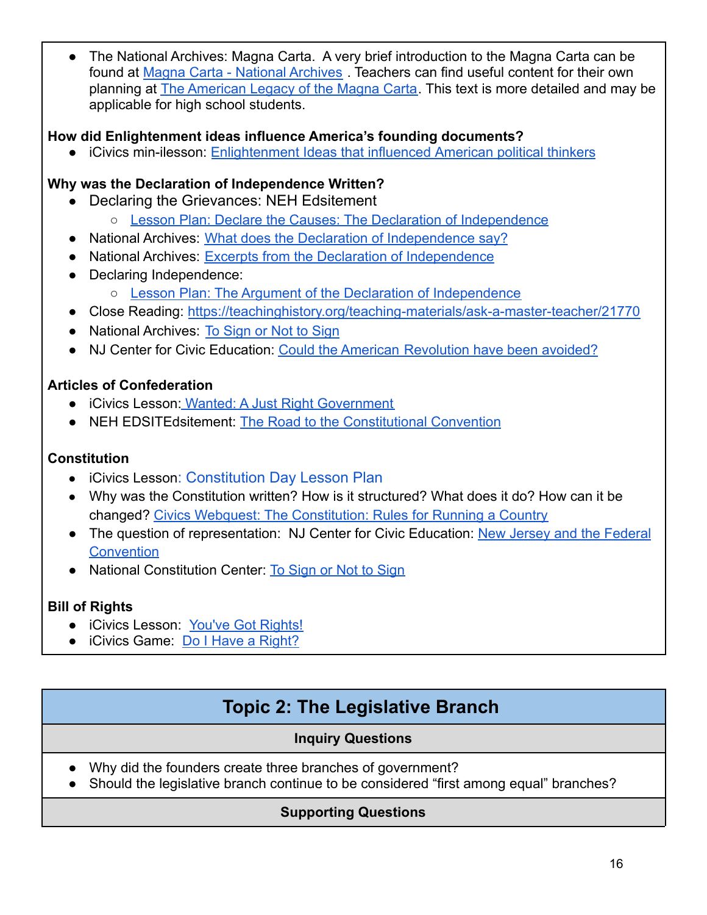The National Archives: Magna Carta. A very brief introduction to the Magna Carta can be found at [Magna Carta - National Archives](https://www.archives.gov/exhibits/featured-documents/magna-carta) . Teachers can find useful content for their own planning at **[The American Legacy of the Magna Carta](https://www.archives.gov/exhibits/featured-documents/magna-carta/legacy.html)**. This text is more detailed and may be applicable for high school students.

**How did Enlightenment ideas influence America's founding documents?**

● iCivics min-ilesson: [Enlightenment Ideas that influenced](https://www.icivics.org/teachers/lesson-plans/enlightenment-mini-lesson) American political thinkers

## **Why was the Declaration of Independence Written?**

- Declaring the Grievances: NEH Edsitement
	- o [Lesson Plan: Declare the Causes: The Declaration of Independence](https://edsitement.neh.gov/lesson-plans/declare-causes-declaration-independence)
- National Archives: [What does the Declaration of Independence](https://www.archives.gov/founding-docs/declaration/what-does-it-say) say?
- National Archives: [Excerpts from the Declaration of](https://docsteach.org/activities/teacher/excerpts-from-the-declaration-of-independence) Independence
- Declaring Independence:
	- [Lesson Plan: The Argument of the Declaration of Independence](https://edsitement.neh.gov/lesson-plans/argument-declaration-independence)
- Close Reading: <https://teachinghistory.org/teaching-materials/ask-a-master-teacher/21770>
- National Archives: [To Sign or Not to Sign](https://docsteach.org/activities/teacher/to-sign-or-not-to-sign)
- NJ Center for Civic Education: Could the American [Revolution have been avoided?](https://civiced.rutgers.edu/documents/conflict-resolution/volume-one-the-colonial-period-through-reconstruction/105-the-american-revolution)

## **Articles of Confederation**

- iCivics Lesson: [Wanted: A Just Right Government](https://www.icivics.org/teachers/lesson-plans/wanted-just-right-government)
- NEH EDSITEdsitement: [The Road to the Constitutional](https://edsitement.neh.gov/lesson-plans/lesson-1-road-constitutional-convention) Convention

## **Constitution**

- iCivics Lesson: [Constitution](https://www.icivics.org/teachers/lesson-plans/constitution-day?keywords=do%20i%20have%20a%20right&type&page=2&referer=search-results&page_title=Search%20Results) Day Lesson Plan
- Why was the Constitution written? How is it structured? What does it do? How can it be changed? [Civics Webquest: The Constitution: Rules](https://www.icivics.org/node/586/resource?keywords=do%20i%20have%20a%20right&type&page=1&referer=search-results&page_title=Search%20Results) for Running a Country
- The question of representation: NJ Center for Civic Education: [New Jersey and the Federal](https://civiced.rutgers.edu/nj-lessons) **[Convention](https://civiced.rutgers.edu/nj-lessons)**
- National Constitution Center: [To Sign or Not to Sign](https://constitutioncenter.org/learn/educational-resources/lesson-plans/to-sign-or-not-to-sign-the-ultimate-constitution-day-lesson-plan)

## **Bill of Rights**

- iCivics Lesson: [You've Got Rights!](https://www.icivics.org/teachers/lesson-plans/youve-got-rights)
- iCivics Game: [Do I Have a Right?](https://www.icivics.org/games/do-i-have-right)

# **Topic 2: The Legislative Branch**

## **Inquiry Questions**

- <span id="page-15-0"></span>● Why did the founders create three branches of government?
- Should the legislative branch continue to be considered "first among equal" branches?

## **Supporting Questions**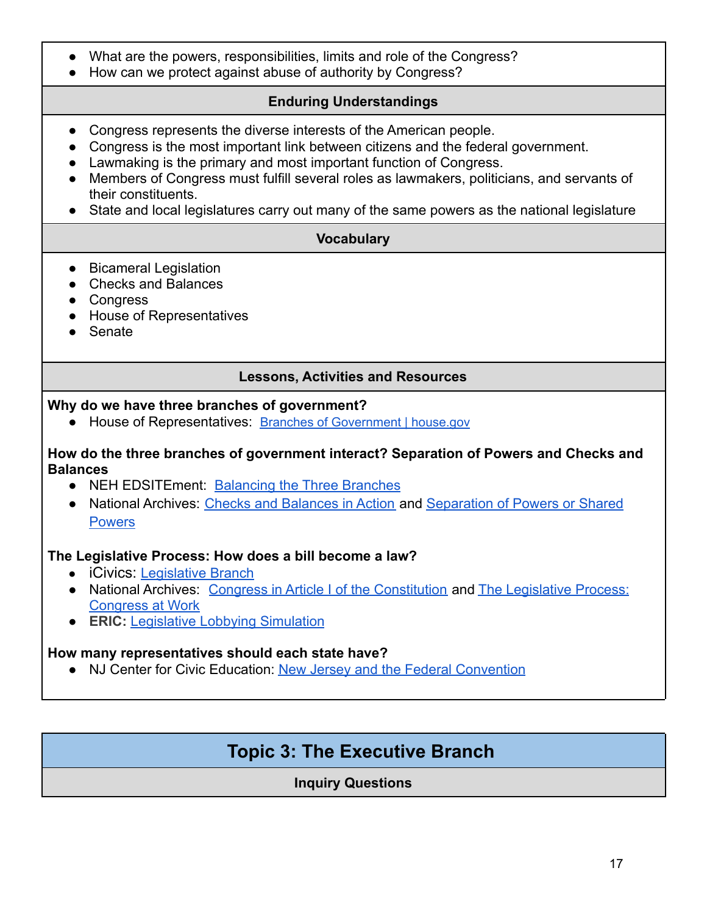- What are the powers, responsibilities, limits and role of the Congress?
- How can we protect against abuse of authority by Congress?

## **Enduring Understandings**

- Congress represents the diverse interests of the American people.
- Congress is the most important link between citizens and the federal government.
- Lawmaking is the primary and most important function of Congress.
- Members of Congress must fulfill several roles as lawmakers, politicians, and servants of their constituents.
- State and local legislatures carry out many of the same powers as the national legislature

## **Vocabulary**

- Bicameral Legislation
- Checks and Balances
- Congress
- House of Representatives
- Senate

## **Lessons, Activities and Resources**

#### **Why do we have three branches of government?**

● House of Representatives: Branches of [Government](https://www.house.gov/the-house-explained/branches-of-government) | house.gov

#### **How do the three branches of government interact? Separation of Powers and Checks and Balances**

- NEH EDSITEment: [Balancing the Three Branches](https://edsitement.neh.gov/lesson-plans/balancing-three-branches-once-our-system-checks-and-balances)
- National Archives: [Checks and Balances in Action](https://docsteach.org/activities/teacher/checks-and-balances-in-action) and [Separation of Powers or Shared](https://docsteach.org/activities/teacher/separation-of-powers-or-shared-powers) **[Powers](https://docsteach.org/activities/teacher/separation-of-powers-or-shared-powers)**

### **The Legislative Process: How does a bill become a law?**

- iCivics: [Legislative Branch](https://www.icivics.org/curriculum/legislative-branch)
- National Archives: [Congress in Article I of the Constitution](https://docsteach.org/activities/teacher/congress-in-article-i-of-the-constitution) and [The Legislative Process:](https://docsteach.org/activities/teacher/the-legislative-process-congress-at-work) [Congress at Work](https://docsteach.org/activities/teacher/the-legislative-process-congress-at-work)
- **ERIC:** [Legislative Lobbying Simulation](https://eric.ed.gov/?id=ED223530)

### **How many representatives should each state have?**

<span id="page-16-0"></span>● NJ Center for Civic Education: [New Jersey and the](https://civiced.rutgers.edu/documents/nj-lessons/for-grades-6-8/17-new-jersey-and-the-federal-convention-1787/file) Federal Convention

## **Topic 3: The Executive Branch**

**Inquiry Questions**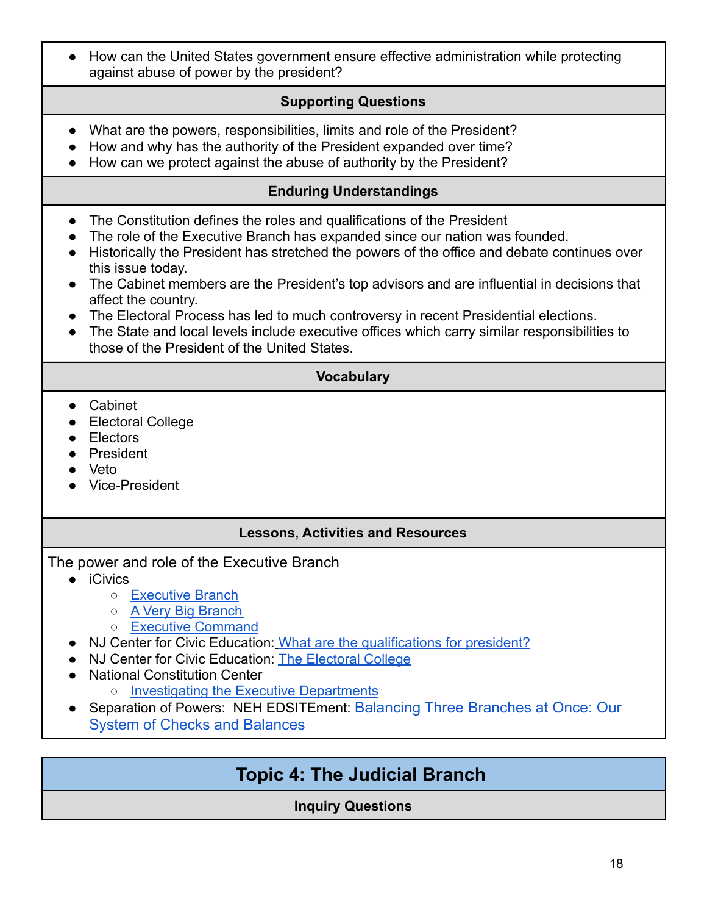● How can the United States government ensure effective administration while protecting against abuse of power by the president?

### **Supporting Questions**

- What are the powers, responsibilities, limits and role of the President?
- How and why has the authority of the President expanded over time?
- How can we protect against the abuse of authority by the President?

### **Enduring Understandings**

- The Constitution defines the roles and qualifications of the President
- The role of the Executive Branch has expanded since our nation was founded.
- Historically the President has stretched the powers of the office and debate continues over this issue today.
- The Cabinet members are the President's top advisors and are influential in decisions that affect the country.
- The Electoral Process has led to much controversy in recent Presidential elections.
- The State and local levels include executive offices which carry similar responsibilities to those of the President of the United States.

## **Vocabulary**

- Cabinet
- Electoral College
- Electors
- President
- Veto
- Vice-President

### **Lessons, Activities and Resources**

- The power and role of the Executive Branch
	- iCivics
		- [Executive Branch](https://www.icivics.org/curriculum/executive-branch)
		- [A Very Big Branch](https://www.icivics.org/teachers/lesson-plans/very-big-branch?keywords=executive%20branch&type&page&referer=search-results&page_title=Search%20Results)
		- [Executive Command](https://www.icivics.org/node/594/resource?keywords=executive%20branch&type&page&referer=search-results&page_title=Search%20Results)
	- NJ Center for Civic Education: [What are the qualifications](https://civiced.rutgers.edu/documents/civics/middle-school-civics/the-structure-of-government/100-qualifications-for-president) for president?
	- NJ Center for Civic Education: [The Electoral College](https://civiced.rutgers.edu/documents/civics/middle-school-civics/the-structure-of-government/86-the-electoral-college)
	- National Constitution Center
		- [Investigating the Executive Departments](https://constitutioncenter.org/learn/educational-resources/lesson-plans/investigating-the-departments-of-the-executive-branch1)
	- Separation of Powers: NEH EDSITEment: [Balancing](https://edsitement.neh.gov/lesson-plans/balancing-three-branches-once-our-system-checks-and-balances) Three Branches at Once: Our System of Checks and [Balances](https://edsitement.neh.gov/lesson-plans/balancing-three-branches-once-our-system-checks-and-balances)

## <span id="page-17-0"></span>**Topic 4: The Judicial Branch**

### **Inquiry Questions**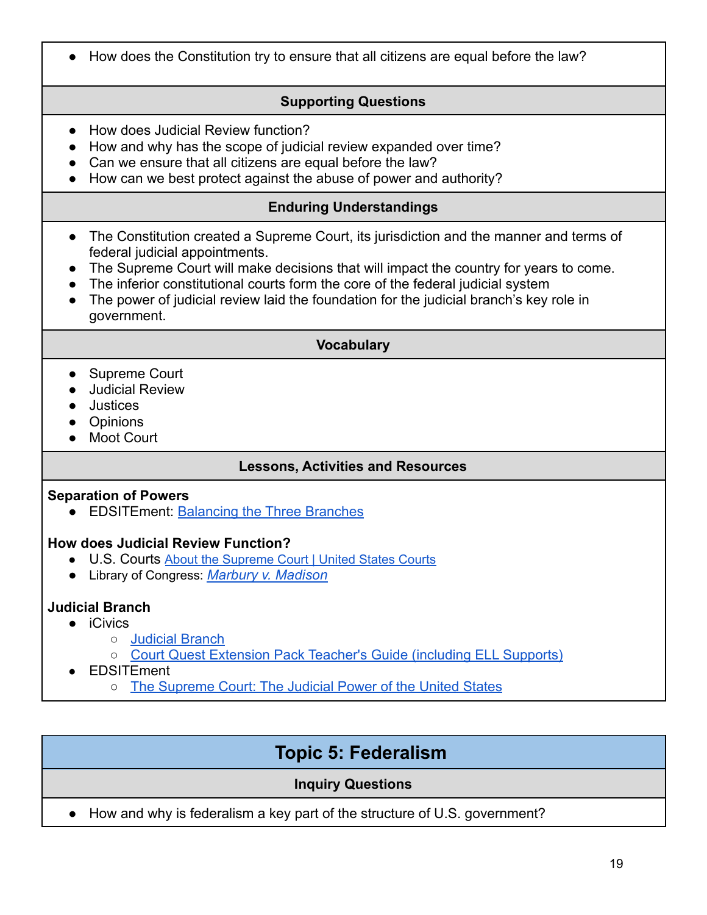● How does the Constitution try to ensure that all citizens are equal before the law?

## **Supporting Questions**

- How does Judicial Review function?
- How and why has the scope of judicial review expanded over time?
- Can we ensure that all citizens are equal before the law?
- How can we best protect against the abuse of power and authority?

## **Enduring Understandings**

- The Constitution created a Supreme Court, its jurisdiction and the manner and terms of federal judicial appointments.
- The Supreme Court will make decisions that will impact the country for years to come.
- The inferior constitutional courts form the core of the federal judicial system
- The power of judicial review laid the foundation for the judicial branch's key role in government.

### **Vocabulary**

- Supreme Court
- Judicial Review
- Justices
- Opinions
- Moot Court

### **Lessons, Activities and Resources**

#### **Separation of Powers**

● EDSITEment: [Balancing the Three Branches](https://edsitement.neh.gov/lesson-plans/balancing-three-branches-once-our-system-checks-and-balances)

### **How does Judicial Review Function?**

- U.S. Courts About the [Supreme](https://www.uscourts.gov/about-federal-courts/educational-resources/about-educational-outreach/activity-resources/about) Court | United States Courts
- *●* Library of Congress: *[Marbury v. Madison](https://guides.loc.gov/marbury-v-madison)*

## **Judicial Branch**

- iCivics
	- [Judicial Branch](https://www.icivics.org/curriculum/judicial-branch)
	- [Court Quest Extension Pack Teacher's Guide \(including ELL Supports\)](https://www.icivics.org/viewpdf?path=/sites/default/files/game_docs/Court%20Quest%20Extension%20Pack.pdf)
- EDSITEment
	- o [The Supreme Court: The Judicial Power of the United States](https://edsitement.neh.gov/lesson-plans/supreme-court-judicial-power-united-states)

## **Topic 5: Federalism**

### **Inquiry Questions**

<span id="page-18-0"></span>• How and why is federalism a key part of the structure of U.S. government?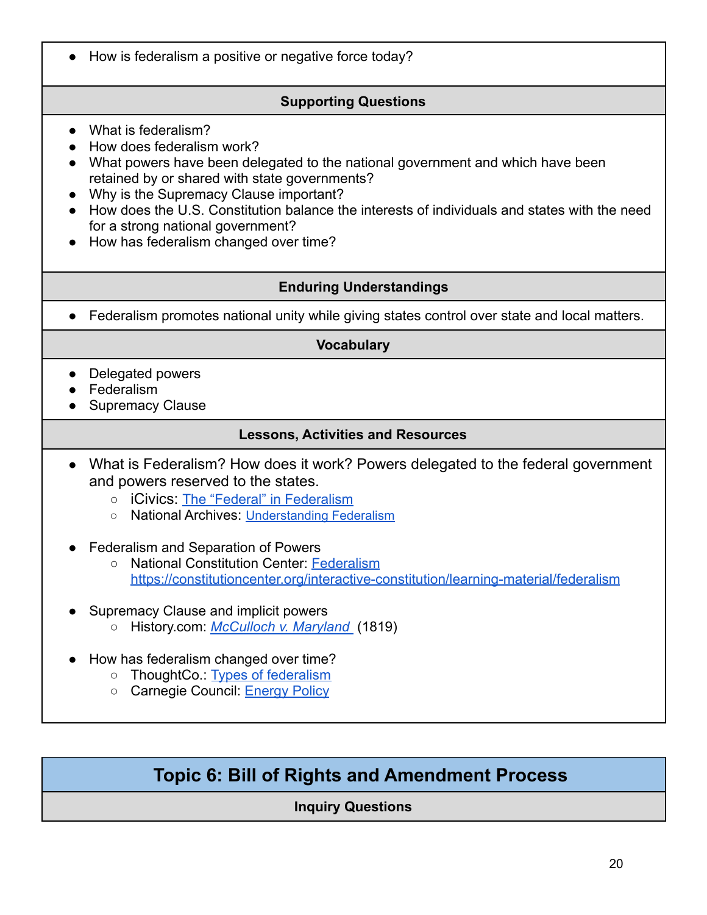● How is federalism a positive or negative force today?

## **Supporting Questions**

- What is federalism?
- How does federalism work?
- What powers have been delegated to the national government and which have been retained by or shared with state governments?
- Why is the Supremacy Clause important?
- How does the U.S. Constitution balance the interests of individuals and states with the need for a strong national government?
- How has federalism changed over time?

## **Enduring Understandings**

● Federalism promotes national unity while giving states control over state and local matters.

## **Vocabulary**

- Delegated powers
- Federalism
- Supremacy Clause

## **Lessons, Activities and Resources**

- What is Federalism? How does it work? Powers delegated to the federal government and powers reserved to the states.
	- **iCivics: [The "Federal" in Federalism](https://www.icivics.org/teachers/lesson-plans/federal-federalism?referer=node/674&page_title=The%20Constitution)**
	- National Archives: [Understanding](https://www.archives.gov/legislative/resources/education/federalism) Federalism
- Federalism and Separation of Powers
	- National Constitution Center: [Federalism](https://constitutioncenter.org/interactive-constitution/learning-material/federalism) <https://constitutioncenter.org/interactive-constitution/learning-material/federalism>
- Supremacy Clause and implicit powers
	- History.com: *[McCulloch v. Maryland](https://www.history.com/topics/united-states-constitution/mcculloch-v-maryland)* (1819)
- How has federalism changed over time?
	- ThoughtCo.: [Types of federalism](https://www.thoughtco.com/types-of-federalism-definition-and-examples-5194793)
	- Carnegie Council: [Energy Policy](https://www.carnegiecouncil.org/education/moralleadershipenviron/federalismenergy)

## <span id="page-19-0"></span>**Topic 6: Bill of Rights and Amendment Process**

## **Inquiry Questions**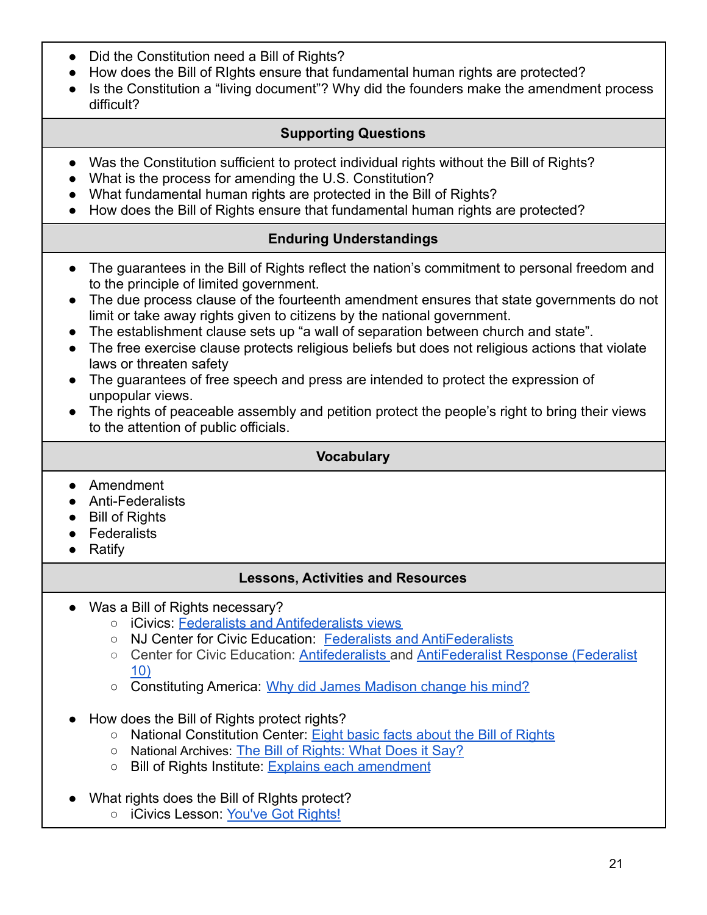- Did the Constitution need a Bill of Rights?
- How does the Bill of RIghts ensure that fundamental human rights are protected?
- Is the Constitution a "living document"? Why did the founders make the amendment process difficult?

## **Supporting Questions**

- Was the Constitution sufficient to protect individual rights without the Bill of Rights?
- What is the process for amending the U.S. Constitution?
- What fundamental human rights are protected in the Bill of Rights?
- How does the Bill of Rights ensure that fundamental human rights are protected?

## **Enduring Understandings**

- The guarantees in the Bill of Rights reflect the nation's commitment to personal freedom and to the principle of limited government.
- The due process clause of the fourteenth amendment ensures that state governments do not limit or take away rights given to citizens by the national government.
- The establishment clause sets up "a wall of separation between church and state".
- The free exercise clause protects religious beliefs but does not religious actions that violate laws or threaten safety
- The guarantees of free speech and press are intended to protect the expression of unpopular views.
- The rights of peaceable assembly and petition protect the people's right to bring their views to the attention of public officials.

### **Vocabulary**

- **●** Amendment
- **●** Anti-Federalists
- **●** Bill of Rights
- **●** Federalists
- **●** Ratify

### **Lessons, Activities and Resources**

- Was a Bill of Rights necessary?
	- iCivics: [Federalists and Antifederalists views](https://nearpod.com/t/L38953077)
	- NJ Center for Civic Education: [Federalists and AntiFederalists](https://civiced.rutgers.edu/documents/civics/middle-school-civics/the-structure-of-government/83-federalists-and-antifederalists)
	- Center for Civic Education: [Antifederalists](https://www.youtube.com/watch?v=5DlxymlJvlk) and AntiFederalist [Response \(Federalist](https://www.youtube.com/watch?v=6ucKK1nOf8k) [10\)](https://www.youtube.com/watch?v=6ucKK1nOf8k)
	- Constituting America: [Why did James Madison change](https://constitutingamerica.org/james-madison-the-bill-of-rights-political-compromise/) his mind?
- How does the Bill of Rights protect rights?
	- National Constitution Center: [Eight basic facts about](https://constitutioncenter.org/blog/everything-you-ever-wanted-to-know-about-the-bill-of-rights-2) the Bill of Rights
	- National Archives: [The Bill of Rights: What Does it](https://www.archives.gov/founding-docs/bill-of-rights/what-does-it-say#:~:text=It%20spells%20out%20Americans) Sav?
	- Bill of Rights Institute: [Explains each amendment](https://billofrightsinstitute.org/primary-sources/bill-of-rights)
- What rights does the Bill of Rights protect?
	- iCivics Lesson: [You've Got Rights!](https://www.icivics.org/teachers/lesson-plans/youve-got-rights?keywords=do%20i%20have%20a%20right&type&page=1&referer=search-results&page_title=Search%20Results)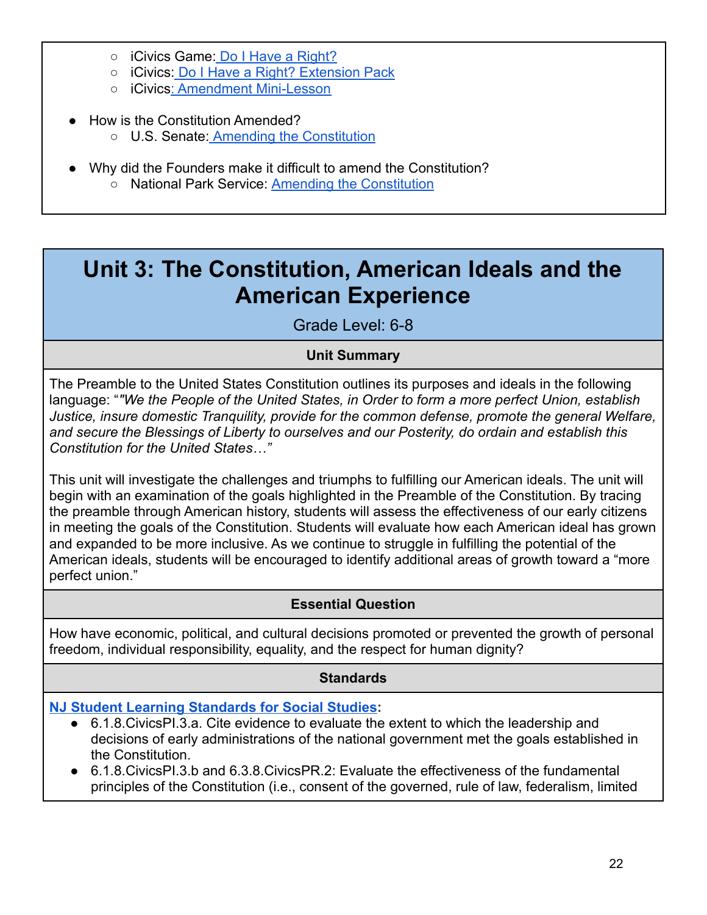- iCivics Game: [Do I Have a Right?](https://www.icivics.org/node/42/resource?referer=curriculum/play/all&page_title=Curriculum%20All%20Games)
- iCivics: [Do I Have a Right? Extension Pack](https://www.icivics.org/teachers/lesson-plans/new-do-i-have-right-extension-pack?keywords=do%20i%20have%20a%20right&type&page=2&referer=search-results&page_title=Search%20Results)
- iCivics[: Amendment Mini-Lesson](https://www.icivics.org/teachers/lesson-plans/amendment-mini-lesson?keywords=do%20i%20have%20a%20right&type&page=1&referer=search-results&page_title=Search%20Results)
- **How is the Constitution Amended?** ○ U.S. Senate: [Amending the Constitution](https://www.senate.gov/reference/reference_index_subjects/Constitution_vrd.htm#:~:text=Article%20V%20of%20the%20Constitution,thirds%20of%20the%20state%20legislatures.)
- Why did the Founders make it difficult to amend the Constitution? o National Park Service: **[Amending the Constitution](https://www.nps.gov/articles/000/teaching-civics-amending-the-u-s-constitution.htm)**

# <span id="page-21-0"></span>**Unit 3: The Constitution, American Ideals and the American Experience**

Grade Level: 6-8

## **Unit Summary**

The Preamble to the United States Constitution outlines its purposes and ideals in the following language: "*"We the People of the United States, in Order to form a more perfect Union, establish Justice, insure domestic Tranquility, provide for the common defense, promote the general Welfare, and secure the Blessings of Liberty to ourselves and our Posterity, do ordain and establish this Constitution for the United States…"*

This unit will investigate the challenges and triumphs to fulfilling our American ideals. The unit will begin with an examination of the goals highlighted in the Preamble of the Constitution. By tracing the preamble through American history, students will assess the effectiveness of our early citizens in meeting the goals of the Constitution. Students will evaluate how each American ideal has grown and expanded to be more inclusive. As we continue to struggle in fulfilling the potential of the American ideals, students will be encouraged to identify additional areas of growth toward a "more perfect union."

## **Essential Question**

How have economic, political, and cultural decisions promoted or prevented the growth of personal freedom, individual responsibility, equality, and the respect for human dignity?

## **Standards**

### **[NJ Student Learning Standards](https://www.state.nj.us/education/cccs/2020/2020%20NJSLS-SS.pdf) for Social Studies:**

- 6.1.8. Civics PI.3. a. Cite evidence to evaluate the extent to which the leadership and decisions of early administrations of the national government met the goals established in the Constitution.
- 6.1.8.CivicsPI.3.b and 6.3.8.CivicsPR.2: Evaluate the effectiveness of the fundamental principles of the Constitution (i.e., consent of the governed, rule of law, federalism, limited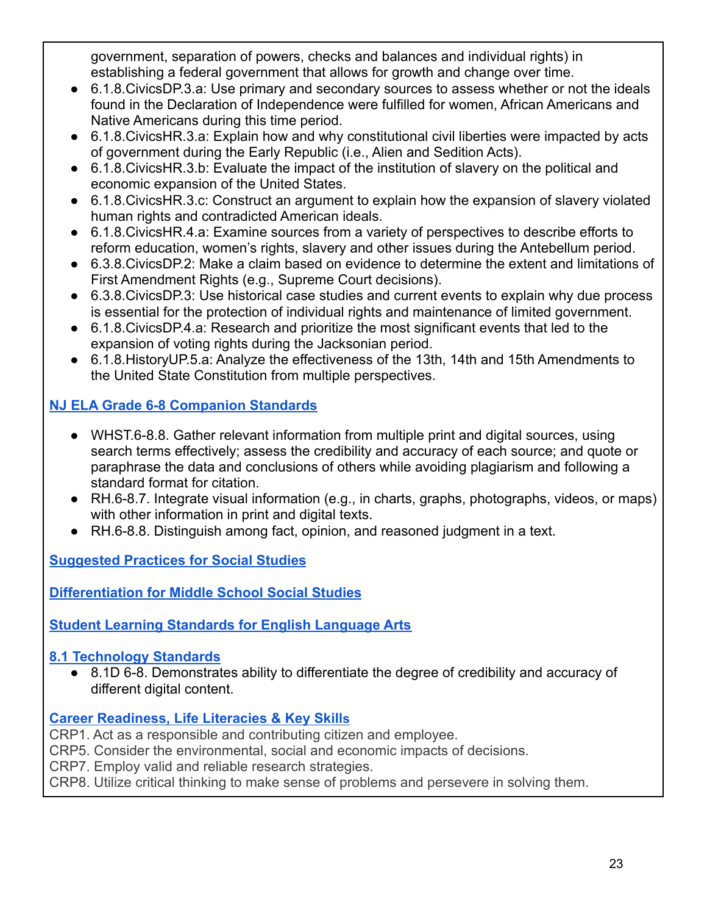government, separation of powers, checks and balances and individual rights) in establishing a federal government that allows for growth and change over time.

- 6.1.8. Civics DP.3. a: Use primary and secondary sources to assess whether or not the ideals found in the Declaration of Independence were fulfilled for women, African Americans and Native Americans during this time period.
- 6.1.8. Civics HR.3. a: Explain how and why constitutional civil liberties were impacted by acts of government during the Early Republic (i.e., Alien and Sedition Acts).
- 6.1.8. Civics HR. 3. b: Evaluate the impact of the institution of slavery on the political and economic expansion of the United States.
- 6.1.8.CivicsHR.3.c: Construct an argument to explain how the expansion of slavery violated human rights and contradicted American ideals.
- 6.1.8. Civics HR.4.a: Examine sources from a variety of perspectives to describe efforts to reform education, women's rights, slavery and other issues during the Antebellum period.
- 6.3.8.CivicsDP.2: Make a claim based on evidence to determine the extent and limitations of First Amendment Rights (e.g., Supreme Court decisions).
- 6.3.8. Civics DP.3: Use historical case studies and current events to explain why due process is essential for the protection of individual rights and maintenance of limited government.
- 6.1.8. Civics DP.4.a: Research and prioritize the most significant events that led to the expansion of voting rights during the Jacksonian period.
- 6.1.8.HistoryUP.5.a: Analyze the effectiveness of the 13th, 14th and 15th Amendments to the United State Constitution from multiple perspectives.

## **[NJ ELA Grade 6-8 Companion Standards](https://www.state.nj.us/education/cccs/2016/ela/CompanionG0608.pdf)**

- WHST.6-8.8. Gather relevant information from multiple print and digital sources, using search terms effectively; assess the credibility and accuracy of each source; and quote or paraphrase the data and conclusions of others while avoiding plagiarism and following a standard format for citation.
- RH.6-8.7. Integrate visual information (e.g., in charts, graphs, photographs, videos, or maps) with other information in print and digital texts.
- RH.6-8.8. Distinguish among fact, opinion, and reasoned judgment in a text.

**[Suggested Practices for Social Studies](https://civiced.rutgers.edu/resources/suggested-practices)**

**[Differentiation for Middle School Social Studies](https://civiced.rutgers.edu/documents/civics/middle-school-civics/104-differentiation-for-middle-school-social-studies)**

**[Student Learning Standards for English Language Arts](https://www.nj.gov/education/standards/ela/Index.shtml)**

## **[8.1 Technology Standards](https://www.nj.gov/education/archive/techno/s8at/tab03/tab3a.pdf)**

● 8.1D 6-8. Demonstrates ability to differentiate the degree of credibility and accuracy of different digital content.

## **[Career Readiness, Life Literacies & Key Skill](https://nam02.safelinks.protection.outlook.com/?url=https%3A%2F%2Fwww.nj.gov%2Feducation%2Fstandards%2Fclicks%2Findex.shtml&data=04%7C01%7Carlenega%40sas.rutgers.edu%7C9e79092e8e3b48d4de5508d9f252b38e%7Cb92d2b234d35447093ff69aca6632ffe%7C1%7C0%7C637807259425325282%7CUnknown%7CTWFpbGZsb3d8eyJWIjoiMC4wLjAwMDAiLCJQIjoiV2luMzIiLCJBTiI6Ik1haWwiLCJXVCI6Mn0%3D%7C3000&sdata=z2zmpJZi3%2BNJjXG5Th0BsBFB6rqOAZvX1ZdUzj0jzFo%3D&reserved=0)s**

CRP1. Act as a responsible and contributing citizen and employee.

CRP5. Consider the environmental, social and economic impacts of decisions.

CRP7. Employ valid and reliable research strategies.

CRP8. Utilize critical thinking to make sense of problems and persevere in solving them.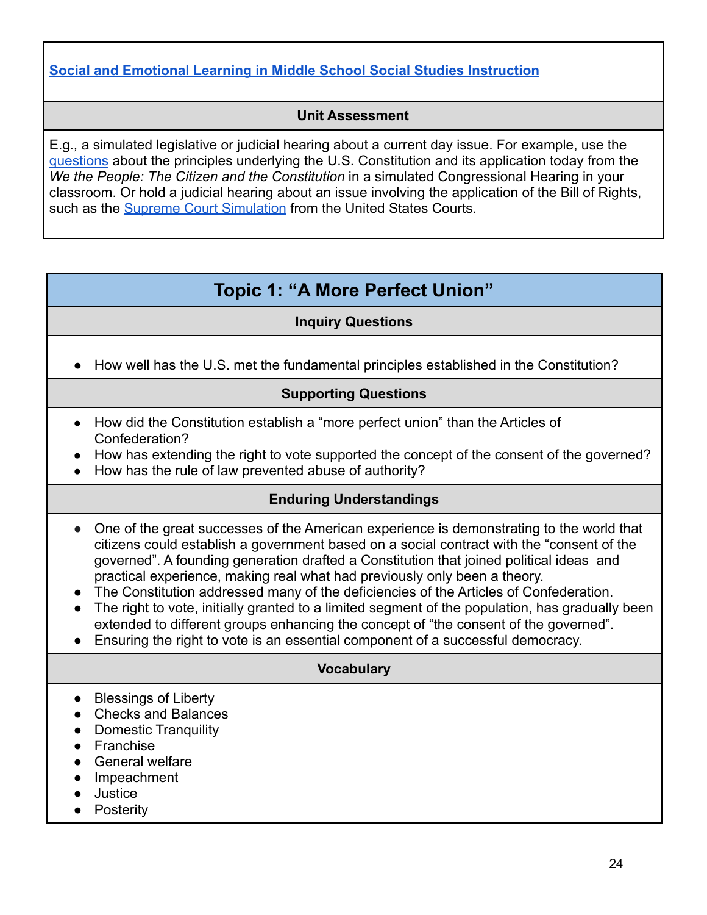## **[Social and Emotional Learning in Middle School Social Studies Instruction](https://www.casel.org/wp-content/uploads/2017/08/SEL-in-Middle-School-Social-Studies-8-20-17.pdf)**

### **Unit Assessment**

E.g*.,* a simulated legislative or judicial hearing about a current day issue. For example, use the [questions](https://files.civiced.org/pdfs/WTP/StateHearingQuestions2021-22.pdf) about the principles underlying the U.S. Constitution and its application today from the *We the People: The Citizen and the Constitution* in a simulated Congressional Hearing in your classroom. Or hold a judicial hearing about an issue involving the application of the Bill of Rights, such as the **[Supreme Court Simulation](https://www.uscourts.gov/about-federal-courts/educational-resources/about-educational-outreach/activity-resources/supreme-0)** from the United States Courts.

## **Topic 1: "A More Perfect Union"**

### **Inquiry Questions**

<span id="page-23-0"></span>● How well has the U.S. met the fundamental principles established in the Constitution?

## **Supporting Questions**

- How did the Constitution establish a "more perfect union" than the Articles of Confederation?
- How has extending the right to vote supported the concept of the consent of the governed?
- How has the rule of law prevented abuse of authority?

### **Enduring Understandings**

- One of the great successes of the American experience is demonstrating to the world that citizens could establish a government based on a social contract with the "consent of the governed". A founding generation drafted a Constitution that joined political ideas and practical experience, making real what had previously only been a theory.
- The Constitution addressed many of the deficiencies of the Articles of Confederation.
- The right to vote, initially granted to a limited segment of the population, has gradually been extended to different groups enhancing the concept of "the consent of the governed".
- Ensuring the right to vote is an essential component of a successful democracy.

### **Vocabulary**

- Blessings of Liberty
- Checks and Balances
- Domestic Tranquility
- Franchise
- General welfare
- **Impeachment**
- **Justice**
- Posterity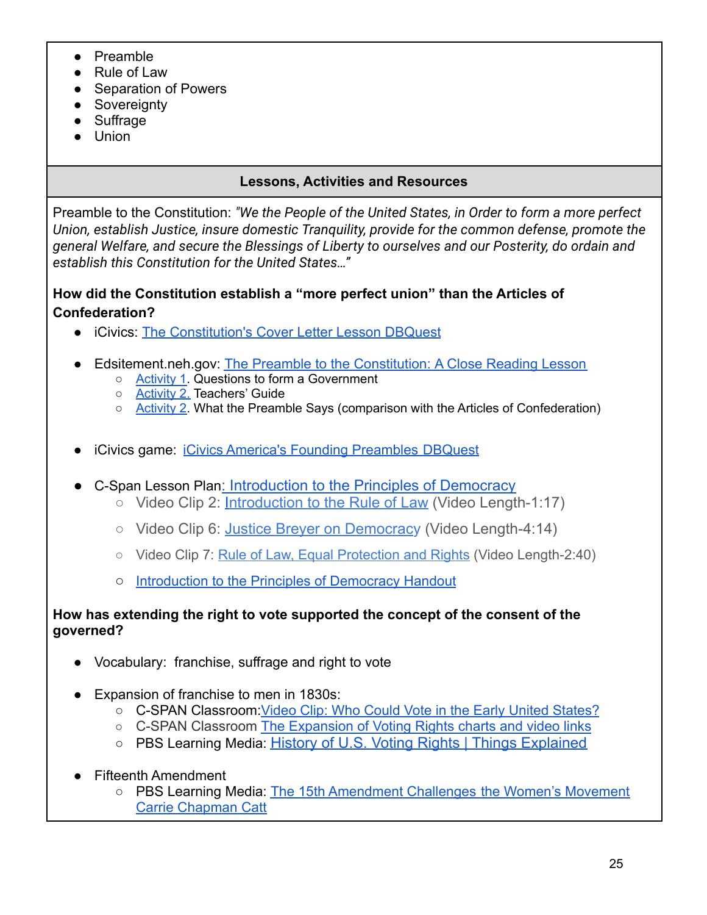- Preamble
- Rule of Law
- Separation of Powers
- Sovereignty
- Suffrage
- Union

## **Lessons, Activities and Resources**

Preamble to the Constitution: *"We the People of the United States, in Order to form a more perfect Union, establish Justice, insure domestic Tranquility, provide for the common defense, promote the general Welfare, and secure the Blessings of Liberty to ourselves and our Posterity, do ordain and establish this Constitution for the United States…"*

## **How did the Constitution establish a "more perfect union" than the Articles of Confederation?**

- iCivics: [The Constitution's Cover Letter Lesson DBQuest](https://www.icivics.org/node/2551240/resource?referer=node/1074005&page_title=DBQuest)
- Edsitement.neh.gov: [The Preamble to the Constitution:](https://edsitement.neh.gov/lesson-plans/preamble-constitution-close-reading-lesson) A Close Reading Lesson
	- [Activity](https://edsitement.neh.gov/sites/default/files/2018-08/activity_1-preamble-student-worksheet.pdf) 1. Questions to form a Government
	- [Activity](https://edsitement.neh.gov/sites/default/files/2018-08/activity_2-teachers-guide.pdf) 2. Teachers' Guide
	- [Activity](https://edsitement.neh.gov/sites/default/files/2018-08/activity_2-preamble-graphic-organizer.pdf) 2. What the Preamble Says (comparison with the Articles of Confederation)
- iCivics game: [iCivics America's Founding Preambles](https://www.icivics.org/node/2533016/resource) DBQuest
- C-Span Lesson Plan: [Introduction](https://www.c-span.org/classroom/document/?6662) to the Principles of Democracy
	- Video Clip 2: [Introduction](https://www.c-span.org/video/?c4676665/introduction-rule-law) to the Rule of Law (Video Length-1:17)
	- Video Clip 6: Justice Breyer on [Democracy](https://www.c-span.org/video/?c4676977/justice-breyer-discusses-democracy-majority-rule) (Video Length-4:14)
	- Video Clip 7: [Rule of Law, Equal Protection and Rights](https://www.c-span.org/video/?c4677032/rule-law-equal-protection-rights) (Video Length-2:40)
	- [Introduction to the Principles of Democracy Handout](https://docs.google.com/document/d/1xn5V2Gh0SVxN8D2TaAFVWKPnhlbOf-yqPfC52KcKNsQ/edit)

## **How has extending the right to vote supported the concept of the consent of the governed?**

- Vocabulary: franchise, suffrage and right to vote
- Expansion of franchise to men in 1830s:
	- C-SPAN Classroom Video Clip: Who Could Vote in the Early United States?
	- C-SPAN Classroom [The Expansion of Voting Rights charts](https://docs.google.com/document/d/1iJLXd_caPE3UX_XGlRY5xuE5y5LFPte6HOfXMJ7KWAA/edit) and video links
	- PBS Learning Media: History of U.S. Voting Rights | Things [Explained](https://ny.pbslearningmedia.org/resource/c25fa636-8c55-407e-9634-cee665de60fb/history-of-us-voting-rights-things-explained/)
- Fifteenth Amendment
	- PBS Learning Media: [The 15th Amendment Challenges](https://ny.pbslearningmedia.org/resource/15th-amendment-challenges-women-suffrage-video/carrie-chapman-catt-warrior-for-women/) the Women's Movement [Carrie Chapman Catt](https://ny.pbslearningmedia.org/resource/15th-amendment-challenges-women-suffrage-video/carrie-chapman-catt-warrior-for-women/)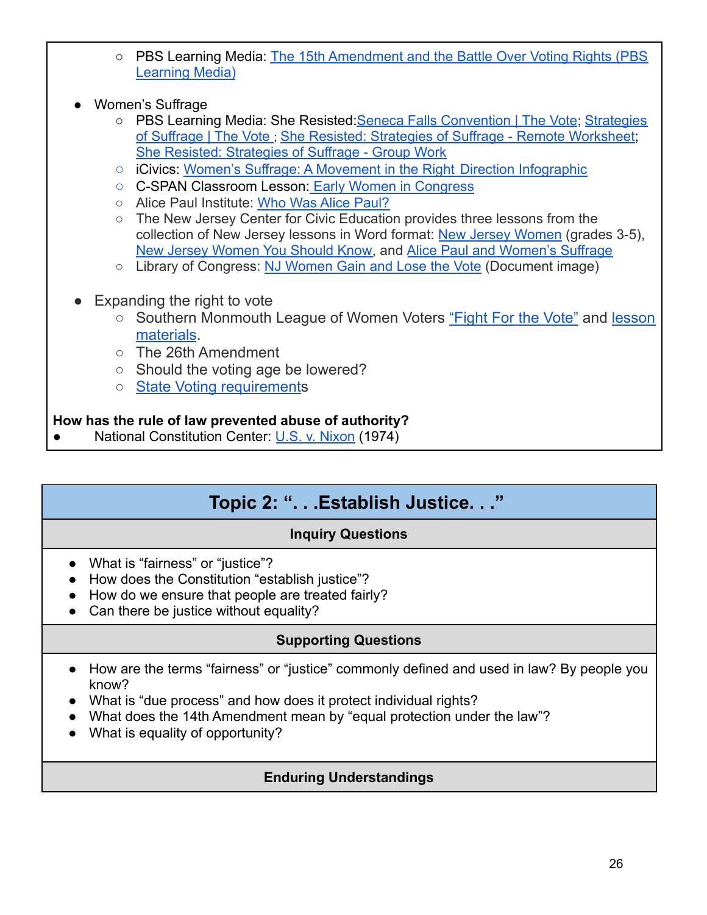- PBS Learning Media: [The 15th Amendment and the Battle Over Voting Rights \(PBS](https://ny.pbslearningmedia.org/resource/fifteenth-amendment-battle-over-voting-rights/ken-burns-not-for-ourselves-alone-video-gallery/) [Learning Media\)](https://ny.pbslearningmedia.org/resource/fifteenth-amendment-battle-over-voting-rights/ken-burns-not-for-ourselves-alone-video-gallery/)
- Women's Suffrage
	- PBS Learning Media: She Resisted: Seneca Falls Convention | The Vote; [Strategies](https://ny.pbslearningmedia.org/resource/amex32tv-soc-sheresisted/she-resisted-strategies-of-suffrage-the-vote/) [of Suffrage | The Vote](https://ny.pbslearningmedia.org/resource/amex32tv-soc-sheresisted/she-resisted-strategies-of-suffrage-the-vote/) ; She Resisted: Strategies [of Suffrage - Remote Worksheet;](https://view.officeapps.live.com/op/view.aspx?src=https://static.pbslearningmedia.org/media/media_files/bcaf570c-cae6-4c06-87ee-8a961dbbc2eb/c5c56404-d6d4-474b-a3eb-038d3934f188.docx) [She Resisted: Strategies of Suffrage - Group Work](https://view.officeapps.live.com/op/view.aspx?src=https://static.pbslearningmedia.org/media/media_files/bcaf570c-cae6-4c06-87ee-8a961dbbc2eb/756dd818-95fa-4bb1-bca0-e6f17fa7bd90.docx)
	- iCivics: [Women's Suffrage: A Movement in the Right](https://www.icivics.org/viewpdf?path=/sites/default/files/Women%27s%20Suffrage%20Infographic_website.pdf) Direction Infographic
	- C-SPAN Classroom Lesson: [Early Women in Congress](https://www.c-span.org/classroom/document/?17780)
	- Alice Paul Institute: [Who Was Alice Paul?](https://www.alicepaul.org/about-alice-paul/)
	- The New Jersey Center for Civic Education provides three lessons from the collection of New Jersey lessons in Word format: New [Jersey Women](https://civiced.rutgers.edu/documents/nj-lessons/for-grades-3-5/53-new-jersey-women/file) (grades 3-5), [New Jersey Women You Should Know,](https://civiced.rutgers.edu/documents/nj-lessons/for-grades-6-8/22-nj-women-you-should-know-about/file) and Alice Paul and [Women's Suffrage](https://civiced.rutgers.edu/documents/nj-lessons/for-grades-6-8/21-alice-paul-and-women-s-suffrage/file)
	- Library of Congress: [NJ Women Gain and Lose the Vote](https://www.loc.gov/exhibitions/women-fight-for-the-vote/about-this-exhibition/seneca-falls-and-building-a-movement-1776-1890/early-feminist-inspirations/new-jersey-women-gain-then-lose-the-vote/) (Document image)
- Expanding the right to vote
	- Southern Monmouth League of Women Voters ["Fight](https://lwvsmc.org/img/FightingVoteBrochure05132020.pdf) For the Vote" and [lesson](https://lwvsmc.org/lwv-initiatives.php) [materials](https://lwvsmc.org/lwv-initiatives.php).
	- The 26th Amendment
	- Should the voting age be lowered?
	- State Voting [requirements](https://nj.gov/state/elections/voter-registration.shtml)

## **How has the rule of law prevented abuse of authority?**

<span id="page-25-0"></span>National Constitution Center: [U.S. v. Nixon](https://constitutioncenter.org/blog/anniversary-of-united-states-v-nixon) (1974)

## **Topic 2: ". . .Establish Justice. . ."**

## **Inquiry Questions**

- What is "fairness" or "justice"?
- How does the Constitution "establish justice"?
- How do we ensure that people are treated fairly?
- Can there be justice without equality?

## **Supporting Questions**

- How are the terms "fairness" or "justice" commonly defined and used in law? By people you know?
- What is "due process" and how does it protect individual rights?
- What does the 14th Amendment mean by "equal protection under the law"?
- What is equality of opportunity?

## **Enduring Understandings**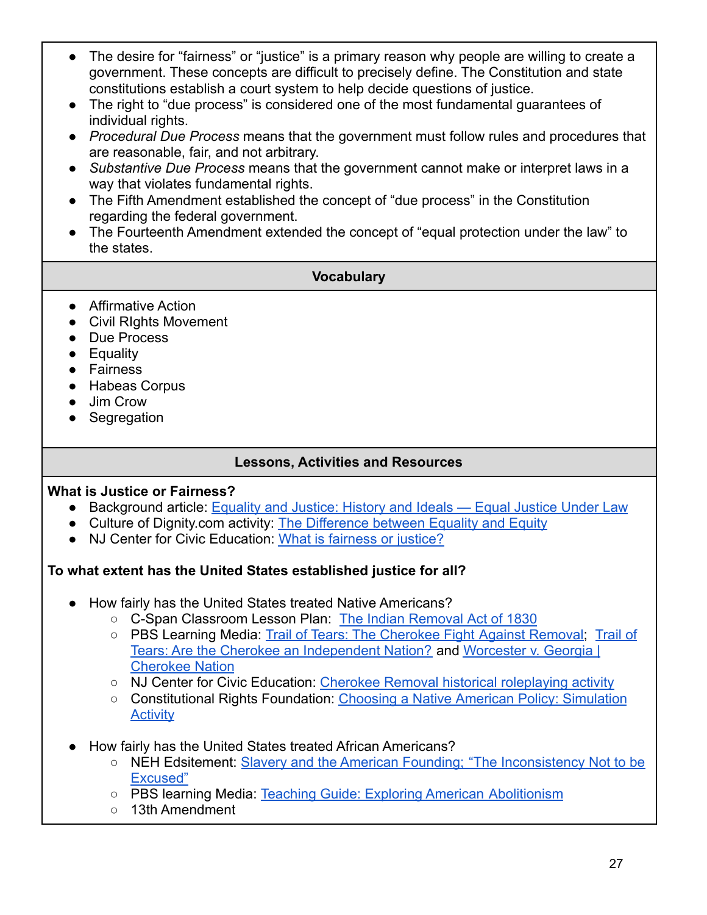- The desire for "fairness" or "justice" is a primary reason why people are willing to create a government. These concepts are difficult to precisely define. The Constitution and state constitutions establish a court system to help decide questions of justice.
- The right to "due process" is considered one of the most fundamental guarantees of individual rights.
- *● Procedural Due Process* means that the government must follow rules and procedures that are reasonable, fair, and not arbitrary.
- *● Substantive Due Process* means that the government cannot make or interpret laws in a way that violates fundamental rights.
- The Fifth Amendment established the concept of "due process" in the Constitution regarding the federal government.
- The Fourteenth Amendment extended the concept of "equal protection under the law" to the states.

## **Vocabulary**

- Affirmative Action
- Civil Rights Movement
- Due Process
- Equality
- Fairness
- Habeas Corpus
- Jim Crow
- Segregation

## **Lessons, Activities and Resources**

## **What is Justice or Fairness?**

- Background article: Equality and Justice: History [and Ideals Equal Justice Under Law](https://equaljusticeunderlaw.org/thejusticereport/2018/8/29/equality-and-justice-history-and-ideals)
- Culture of Dignity.com activity: [The Difference between](https://culturesofdignity.com/equity-and-equality-lesson/) Equality and Equity
- NJ Center for Civic Education: [What is fairness or](https://civiced.rutgers.edu/documents/civics/middle-school-civics/american-ideals/98-fairness-or-justice) justice?

## **To what extent has the United States established justice for all?**

- How fairly has the United States treated Native Americans?
	- C-Span Classroom Lesson Plan: [The Indian Removal](https://www.c-span.org/classroom/document/?10874) Act of 1830
	- PBS Learning Media: [Trail of Tears: The Cherokee Fight](https://ny.pbslearningmedia.org/resource/midlit11.soc.splcher/trail-of-tears-the-cherokee-fight-against-removal/) Against Removal, [Trail of](https://ny.pbslearningmedia.org/resource/arct.socst.ush.ttgoingcourt/are-the-cherokee-an-independent-nation/) [Tears: Are the Cherokee an Independent Nation?](https://ny.pbslearningmedia.org/resource/arct.socst.ush.ttgoingcourt/are-the-cherokee-an-independent-nation/) and [Worcester v. Georgia |](https://ny.pbslearningmedia.org/resource/d7ad4f12-fcd2-4d8d-9937-66dc8f2d8ec8/worcester-v-georgia-cherokee-nation/) [Cherokee Nation](https://ny.pbslearningmedia.org/resource/d7ad4f12-fcd2-4d8d-9937-66dc8f2d8ec8/worcester-v-georgia-cherokee-nation/)
	- NJ Center for Civic Education: [Cherokee Removal historical](https://civiced.rutgers.edu/documents/conflict-resolution/volume-one-the-colonial-period-through-reconstruction/113-cherokee-removal) roleplaying activity
	- Constitutional Rights Foundation: Choosing a Native [American Policy: Simulation](https://www.crf-usa.org/bill-of-rights-in-action/bria-21-1-c-indian-removal-the-cherokees-jackson-and-the-trail-of-tears.html) **[Activity](https://www.crf-usa.org/bill-of-rights-in-action/bria-21-1-c-indian-removal-the-cherokees-jackson-and-the-trail-of-tears.html)**
- How fairly has the United States treated African Americans?
	- NEH Edsitement: [Slavery and the American Founding;](https://edsitement.neh.gov/lesson-plans/slavery-and-american-founding-inconsistency-not-be-excused) "The Inconsistency Not to be [Excused"](https://edsitement.neh.gov/lesson-plans/slavery-and-american-founding-inconsistency-not-be-excused)
	- PBS learning Media: [Teaching Guide: Exploring American](https://ny.pbslearningmedia.org/resource/dpla-tg-040/teaching-guide-exploring-american-abolitionism/) Abolitionism
	- 13th Amendment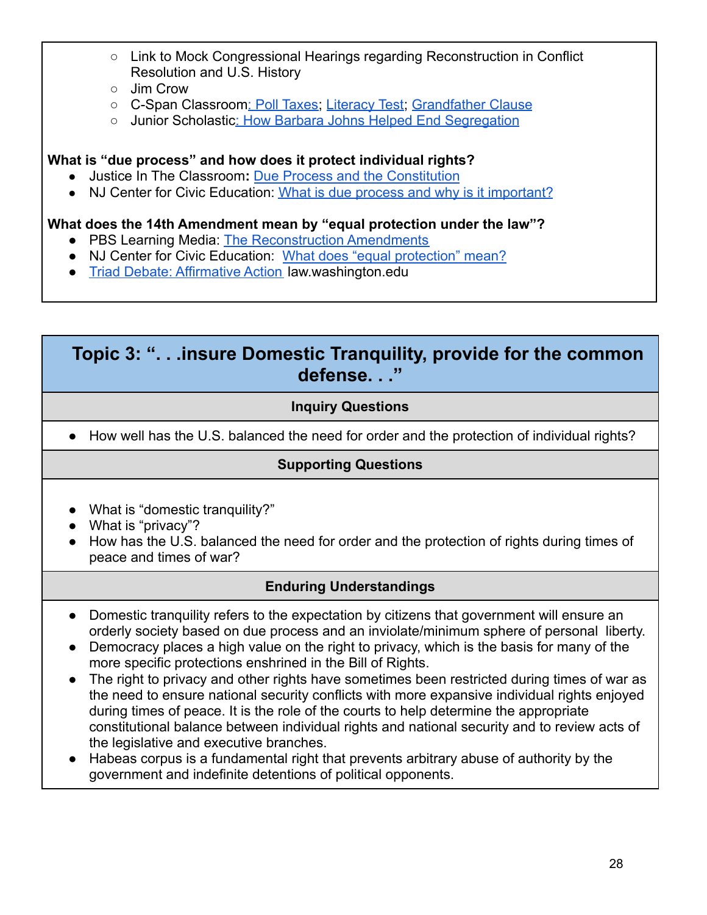- Link to Mock Congressional Hearings regarding Reconstruction in Conflict Resolution and U.S. History
- Jim Crow
- o C-Span Classroom[: Poll Taxes;](https://www.c-span.org/classroom/document/?8998) [Literacy Test](https://www.c-span.org/classroom/document/?8995); [Grandfather](https://www.c-span.org/classroom/document/?8997) Clause
- o Junior Scholastic[: How Barbara Johns Helped End Segregation](https://junior.scholastic.com/issues/2018-19/012819/this-student-helped-desegregate-america-s-schools.html#960L)

### **What is "due process" and how does it protect individual rights?**

- Justice In The Classroom**:** [Due Process and the Constitution](https://justiceintheclassroom.net/lesson_plans/2019/PDF_TROL_MS/PDF_TROL_MS-DUPRO/TROL-MSDUPRO5%20(S)%20-%20Due%20Process%20and%20the%20U.S.%20Constitution.pdf)
- NJ Center for Civic Education: What is due process [and why is it important?](https://civiced.rutgers.edu/documents/civics/middle-school-civics/american-ideals/87-what-is-due-process)

## **What does the 14th Amendment mean by "equal protection under the law"?**

- **●** PBS Learning Media: [The Reconstruction Amendments](https://lsintspl3.wgbh.org/en-us/lesson/ilwnet17-reconamend/?as_guest=True&next=https://ny.pbslearningmedia.org/resource/ilwnet17-soc-us-reconamend/the-reconstruction-amendments/)
- **●** NJ Center for Civic Education: [What does "equal protection"](https://civiced.rutgers.edu/documents/civics/middle-school-civics/american-ideals/82-equal-protection) mean?
- **●** [Triad Debate: Affirmative Action](https://www.law.washington.edu/students/streetlaw/lessons/affirmativeaction.pdf?zh3sqhy) law.washington.edu

## <span id="page-27-0"></span>**Topic 3: ". . .insure Domestic Tranquility, provide for the common defense. . ."**

## **Inquiry Questions**

● How well has the U.S. balanced the need for order and the protection of individual rights?

## **Supporting Questions**

- What is "domestic tranquility?"
- What is "privacy"?
- How has the U.S. balanced the need for order and the protection of rights during times of peace and times of war?

## **Enduring Understandings**

- Domestic tranquility refers to the expectation by citizens that government will ensure an orderly society based on due process and an inviolate/minimum sphere of personal liberty.
- Democracy places a high value on the right to privacy, which is the basis for many of the more specific protections enshrined in the Bill of Rights.
- The right to privacy and other rights have sometimes been restricted during times of war as the need to ensure national security conflicts with more expansive individual rights enjoyed during times of peace. It is the role of the courts to help determine the appropriate constitutional balance between individual rights and national security and to review acts of the legislative and executive branches.
- Habeas corpus is a fundamental right that prevents arbitrary abuse of authority by the government and indefinite detentions of political opponents.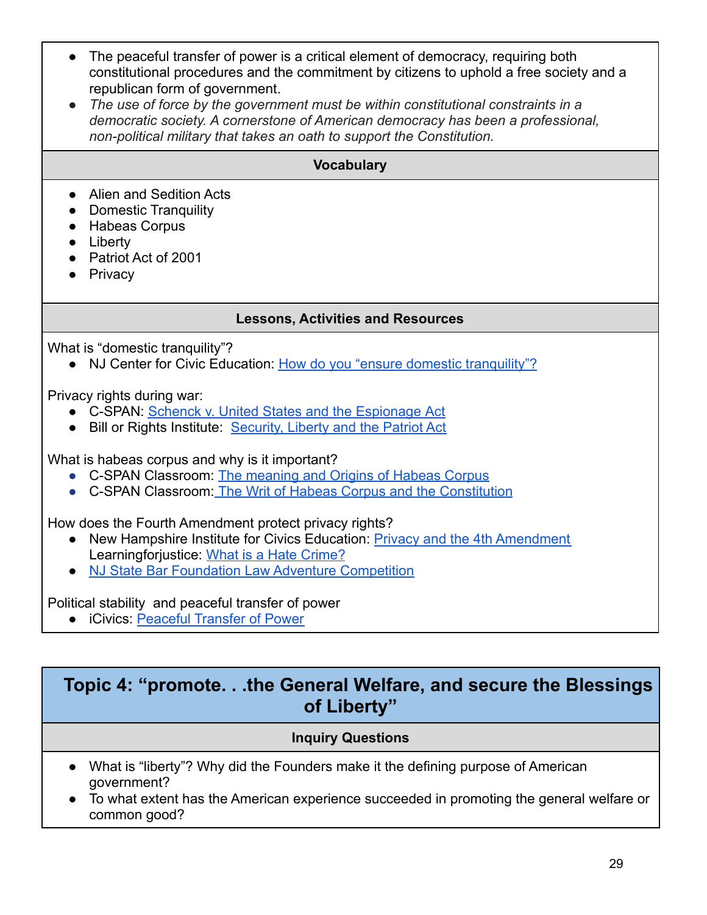- The peaceful transfer of power is a critical element of democracy, requiring both constitutional procedures and the commitment by citizens to uphold a free society and a republican form of government.
- *● The use of force by the government must be within constitutional constraints in a democratic society. A cornerstone of American democracy has been a professional, non-political military that takes an oath to support the Constitution.*

## **Vocabulary**

- Alien and Sedition Acts
- Domestic Tranquility
- Habeas Corpus
- Liberty
- Patriot Act of 2001
- Privacy

### **Lessons, Activities and Resources**

What is "domestic tranquility"?

• NJ Center for Civic Education: How do you "ensure [domestic tranquility"?](https://civiced.rutgers.edu/documents/civics/middle-school-civics/american-ideals/97-domestic-tranquility)

Privacy rights during war:

- C-SPAN: [Schenck v. United States and the Espionage](https://www.c-span.org/classroom/document/?4905) Act
- Bill or Rights Institute: [Security, Liberty and the](https://billofrightsinstitute.org/lessons/security-liberty-usa-patriot-act) Patriot Act

What is habeas corpus and why is it important?

- C-SPAN Classroom: [The meaning and Origins of Habeas](https://www.c-span.org/classroom/document/?8264) Corpus
- C-SPAN Classroom: [The Writ of Habeas Corpus and the](https://www.c-span.org/classroom/document/?8344) Constitution

How does the Fourth Amendment protect privacy rights?

- New Hampshire Institute for Civics Education: Privacy [and the 4th Amendment](https://www.nhcivics.org/curriculum-library/privacy-and-the-fourth-amendment) Learningforjustice: [What is a Hate Crime?](https://www.learningforjustice.org/classroom-resources/lessons/what-is-a-hate-crime)
- [NJ State Bar Foundation Law Adventure Competition](https://njsbf.org/school-based-programs/mock-trial/law-adventure-competition-for-grades-7-and-8/)

Political stability and peaceful transfer of power

● iCivics: [Peaceful Transfer of Power](https://www.icivics.org/teachers/lesson-plans/peaceful-transfer-power-infographic)

## <span id="page-28-0"></span>**Topic 4: "promote. . .the General Welfare, and secure the Blessings of Liberty"**

### **Inquiry Questions**

- What is "liberty"? Why did the Founders make it the defining purpose of American government?
- To what extent has the American experience succeeded in promoting the general welfare or common good?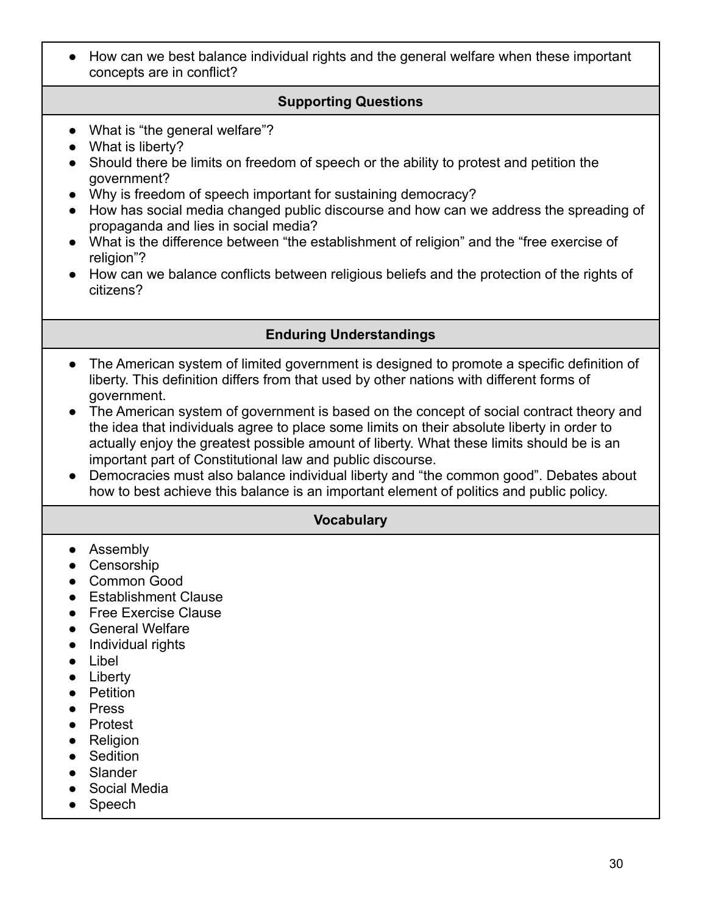● How can we best balance individual rights and the general welfare when these important concepts are in conflict?

### **Supporting Questions**

- What is "the general welfare"?
- What is liberty?
- Should there be limits on freedom of speech or the ability to protest and petition the government?
- Why is freedom of speech important for sustaining democracy?
- How has social media changed public discourse and how can we address the spreading of propaganda and lies in social media?
- What is the difference between "the establishment of religion" and the "free exercise of religion"?
- How can we balance conflicts between religious beliefs and the protection of the rights of citizens?

#### **Enduring Understandings**

- The American system of limited government is designed to promote a specific definition of liberty. This definition differs from that used by other nations with different forms of government.
- The American system of government is based on the concept of social contract theory and the idea that individuals agree to place some limits on their absolute liberty in order to actually enjoy the greatest possible amount of liberty. What these limits should be is an important part of Constitutional law and public discourse.
- Democracies must also balance individual liberty and "the common good". Debates about how to best achieve this balance is an important element of politics and public policy.

#### **Vocabulary**

- Assembly
- Censorship
- Common Good
- Establishment Clause
- Free Exercise Clause
- General Welfare
- Individual rights
- Libel
- Liberty
- Petition
- Press
- Protest
- Religion
- Sedition
- Slander
- Social Media
- Speech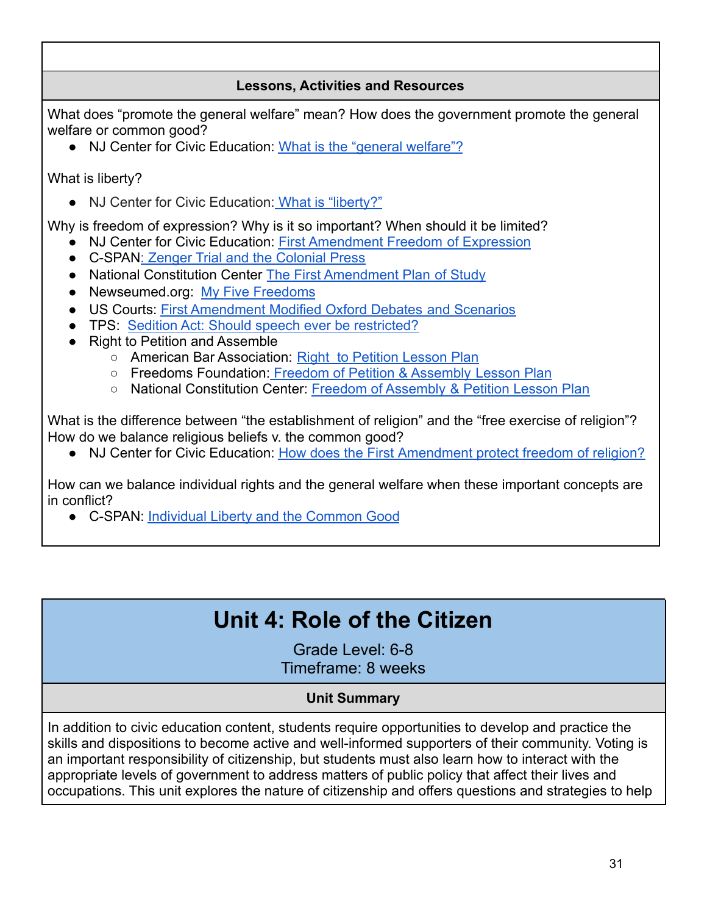## **Lessons, Activities and Resources**

What does "promote the general welfare" mean? How does the government promote the general welfare or common good?

● NJ Center for Civic Education: [What is the "general](https://civiced.rutgers.edu/documents/civics/middle-school-civics/american-ideals/89-promote-the-general-welfare) welfare"?

What is liberty?

● NJ Center for Civic Education: [What is "liberty?"](https://civiced.rutgers.edu/documents/civics/middle-school-civics/american-ideals/103-what-is-liberty)

Why is freedom of expression? Why is it so important? When should it be limited?

- NJ Center for Civic Education: [First Amendment Freedom](https://civiced.rutgers.edu/documents/civics/middle-school-civics/american-ideals/96-freedom-of-expression) of Expression
- C-SPAN[: Zenger Trial and the Colonial Press](https://www.c-span.org/classroom/document/?10186)
- National Constitution Center [The First Amendment Plan](https://constitutioncenter.org/media/const-files/Overview_Interactive_Constitution_8.pdf) of Study
- Newseumed.org: [My Five Freedoms](https://newseumed.org/tools/lesson-plan/introduction-first-amendment-my-five-freedoms)
- US Courts: [First Amendment Modified Oxford Debates](https://www.uscourts.gov/about-federal-courts/educational-resources/educational-activities/first-amendment-activities) and Scenarios
- TPS: [Sedition Act: Should speech ever be restricted?](https://docs.google.com/document/d/11Bmx3zs5FjnwY0hegTurcIgG47oBXl16/edit?usp=sharing&ouid=116923513676137889276&rtpof=true&sd=trueary)
- Right to Petition and Assemble
	- American Bar Association: [Right to Petition Lesson](https://www.americanbar.org/groups/public_education/law-day/law-day-2020/planning-guide/middle-school-lesson-plans/) Plan
	- Freedoms Foundation: [Freedom of Petition & Assembly](https://freedomsfoundation.org/wp-content/uploads/2018/01/Lesson-2.pdf) Lesson Plan
	- National Constitution Center: Freedom of Assembly [& Petition Lesson Plan](https://constitutioncenter.org/media/const-files/Lesson-Plan-Assembly-and-Petition_8.pdf)

What is the difference between "the establishment of religion" and the "free exercise of religion"? How do we balance religious beliefs v. the common good?

● NJ Center for Civic Education: How does the First [Amendment protect freedom of religion?](https://civiced.rutgers.edu/documents/civics/middle-school-civics/american-ideals/84-freedom-of-religion)

How can we balance individual rights and the general welfare when these important concepts are in conflict?

<span id="page-30-0"></span>● C-SPAN: [Individual Liberty and the Common Good](https://www.c-span.org/classroom/document/?7259)

# **Unit 4: Role of the Citizen**

Grade Level: 6-8 Timeframe: 8 weeks

## **Unit Summary**

In addition to civic education content, students require opportunities to develop and practice the skills and dispositions to become active and well-informed supporters of their community. Voting is an important responsibility of citizenship, but students must also learn how to interact with the appropriate levels of government to address matters of public policy that affect their lives and occupations. This unit explores the nature of citizenship and offers questions and strategies to help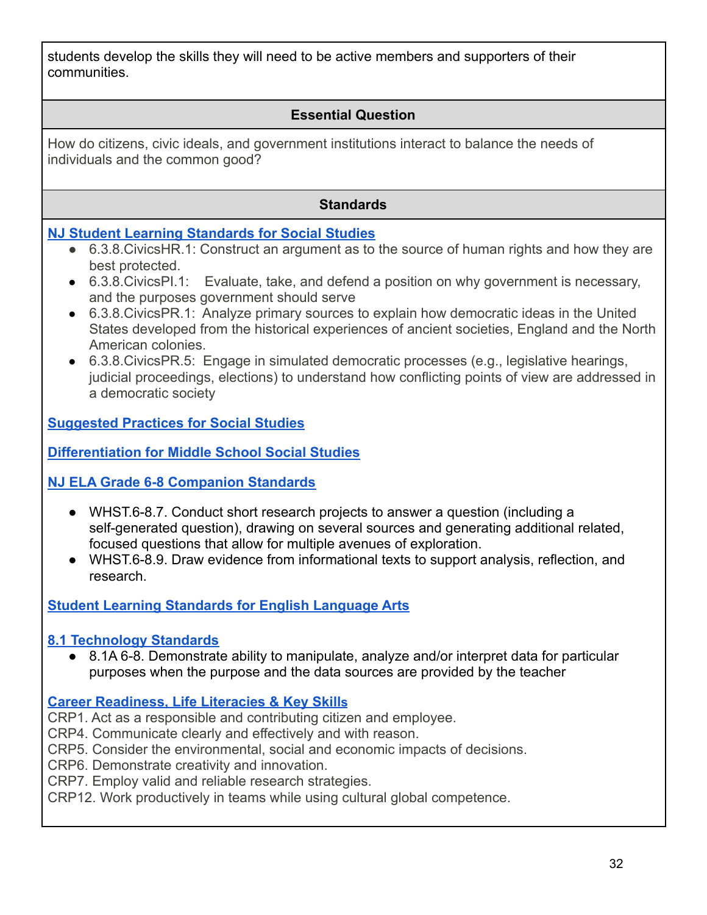students develop the skills they will need to be active members and supporters of their communities.

## **Essential Question**

How do citizens, civic ideals, and government institutions interact to balance the needs of individuals and the common good?

## **Standards**

## **[NJ Student Learning Standards](https://www.state.nj.us/education/cccs/2020/2020%20NJSLS-SS.pdf) for Social Studies**

- 6.3.8. Civics HR. 1: Construct an argument as to the source of human rights and how they are best protected.
- 6.3.8.CivicsPI.1: Evaluate, take, and defend a position on why government is necessary, and the purposes government should serve
- 6.3.8.CivicsPR.1: Analyze primary sources to explain how democratic ideas in the United States developed from the historical experiences of ancient societies, England and the North American colonies.
- 6.3.8.CivicsPR.5: Engage in simulated democratic processes (e.g., legislative hearings, judicial proceedings, elections) to understand how conflicting points of view are addressed in a democratic society

**[Suggested Practices for Social Studies](https://civiced.rutgers.edu/resources/suggested-practices)**

**[Differentiation for Middle School Social Studies](https://civiced.rutgers.edu/documents/civics/middle-school-civics/104-differentiation-for-middle-school-social-studies)**

**[NJ ELA Grade 6-8 Companion Standards](https://www.state.nj.us/education/cccs/2016/ela/CompanionG0608.pdf)**

- WHST.6-8.7. Conduct short research projects to answer a question (including a self-generated question), drawing on several sources and generating additional related, focused questions that allow for multiple avenues of exploration.
- WHST.6-8.9. Draw evidence from informational texts to support analysis, reflection, and research.

## **[Student Learning Standards for English Language Arts](https://www.nj.gov/education/standards/ela/Index.shtml)**

### **[8.1 Technology Standards](https://www.nj.gov/education/archive/techno/s8at/tab03/tab3a.pdf)**

● 8.1A 6-8. Demonstrate ability to manipulate, analyze and/or interpret data for particular purposes when the purpose and the data sources are provided by the teacher

## **[Career Readiness, Life Literacies & Key Skill](https://nam02.safelinks.protection.outlook.com/?url=https%3A%2F%2Fwww.nj.gov%2Feducation%2Fstandards%2Fclicks%2Findex.shtml&data=04%7C01%7Carlenega%40sas.rutgers.edu%7C9e79092e8e3b48d4de5508d9f252b38e%7Cb92d2b234d35447093ff69aca6632ffe%7C1%7C0%7C637807259425325282%7CUnknown%7CTWFpbGZsb3d8eyJWIjoiMC4wLjAwMDAiLCJQIjoiV2luMzIiLCJBTiI6Ik1haWwiLCJXVCI6Mn0%3D%7C3000&sdata=z2zmpJZi3%2BNJjXG5Th0BsBFB6rqOAZvX1ZdUzj0jzFo%3D&reserved=0)s**

CRP1. Act as a responsible and contributing citizen and employee.

CRP4. Communicate clearly and effectively and with reason.

CRP5. Consider the environmental, social and economic impacts of decisions.

CRP6. Demonstrate creativity and innovation.

CRP7. Employ valid and reliable research strategies.

CRP12. Work productively in teams while using cultural global competence.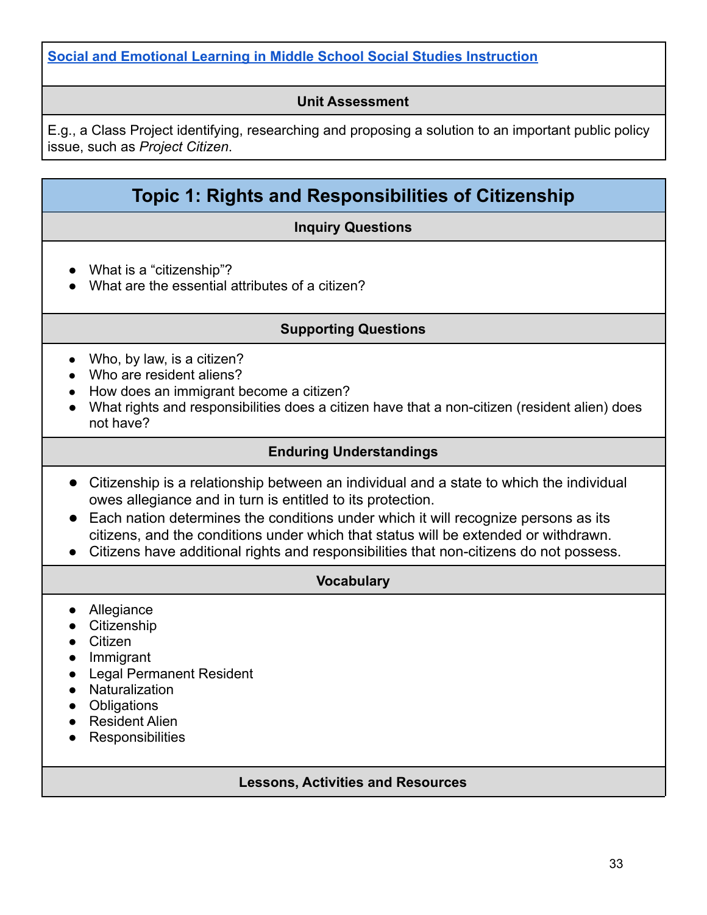### **[Social and Emotional Learning in Middle School Social Studies Instruction](https://www.casel.org/wp-content/uploads/2017/08/SEL-in-Middle-School-Social-Studies-8-20-17.pdf)**

#### **Unit Assessment**

E.g., a Class Project identifying, researching and proposing a solution to an important public policy issue, such as *Project Citizen*.

## **Topic 1: Rights and Responsibilities of Citizenship**

#### **Inquiry Questions**

- What is a "citizenship"?
- What are the essential attributes of a citizen?

#### **Supporting Questions**

- $\bullet$  Who, by law, is a citizen?
- Who are resident aliens?
- How does an immigrant become a citizen?
- What rights and responsibilities does a citizen have that a non-citizen (resident alien) does not have?

#### **Enduring Understandings**

- Citizenship is a relationship between an individual and a state to which the individual owes allegiance and in turn is entitled to its protection.
- Each nation determines the conditions under which it will recognize persons as its citizens, and the conditions under which that status will be extended or withdrawn.
- Citizens have additional rights and responsibilities that non-citizens do not possess.

#### **Vocabulary**

- Allegiance
- Citizenship
- Citizen
- Immigrant
- Legal Permanent Resident
- Naturalization
- Obligations
- Resident Alien
- Responsibilities

#### **Lessons, Activities and Resources**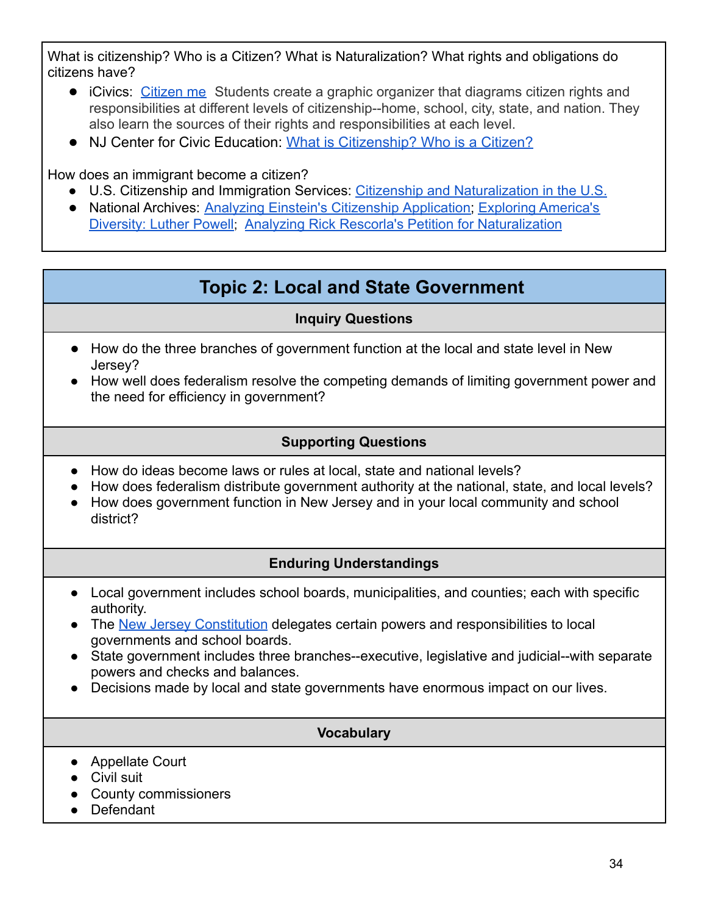What is citizenship? Who is a Citizen? What is Naturalization? What rights and obligations do citizens have?

- iCivics: [Citizen me](https://www.icivics.org/teachers/lesson-plans/citizen-me) Students create a graphic organizer that diagrams citizen rights and responsibilities at different levels of citizenship--home, school, city, state, and nation. They also learn the sources of their rights and responsibilities at each level.
- NJ Center for Civic Education: What is [Citizenship?](https://civiced.rutgers.edu/documents/programs/project-citizen/77-citizenship-and-citizens) Who is a Citizen?

How does an immigrant become a citizen?

- U.S. Citizenship and Immigration Services: Citizenship [and Naturalization in the U.S.](https://www.uscis.gov/citizenship/learn-about-citizenship/citizenship-and-naturalization)
- National Archives: [Analyzing Einstein's Citizenship](https://docsteach.org/activities/teacher/analyzing-einsteins-citizenship-application) Application; [Exploring America's](https://docsteach.org/activities/teacher/exploring-americas-diversity-luther-powell-intermediate) [Diversity: Luther Powell](https://docsteach.org/activities/teacher/exploring-americas-diversity-luther-powell-intermediate); [Analyzing Rick Rescorla's](https://docsteach.org/activities/teacher/analyzing-rick-rescorlas-petition-for-naturalization) Petition for Naturalization

## **Topic 2: Local and State Government**

## **Inquiry Questions**

- <span id="page-33-0"></span>● How do the three branches of government function at the local and state level in New Jersey?
- How well does federalism resolve the competing demands of limiting government power and the need for efficiency in government?

## **Supporting Questions**

- How do ideas become laws or rules at local, state and national levels?
- How does federalism distribute government authority at the national, state, and local levels?
- How does government function in New Jersey and in your local community and school district?

## **Enduring Understandings**

- Local government includes school boards, municipalities, and counties; each with specific authority.
- The [New Jersey Constitution](https://www.njleg.state.nj.us/constitution) delegates certain powers and responsibilities to local governments and school boards.
- State government includes three branches--executive, legislative and judicial--with separate powers and checks and balances.
- Decisions made by local and state governments have enormous impact on our lives.

### **Vocabulary**

- Appellate Court
- Civil suit
- County commissioners
- Defendant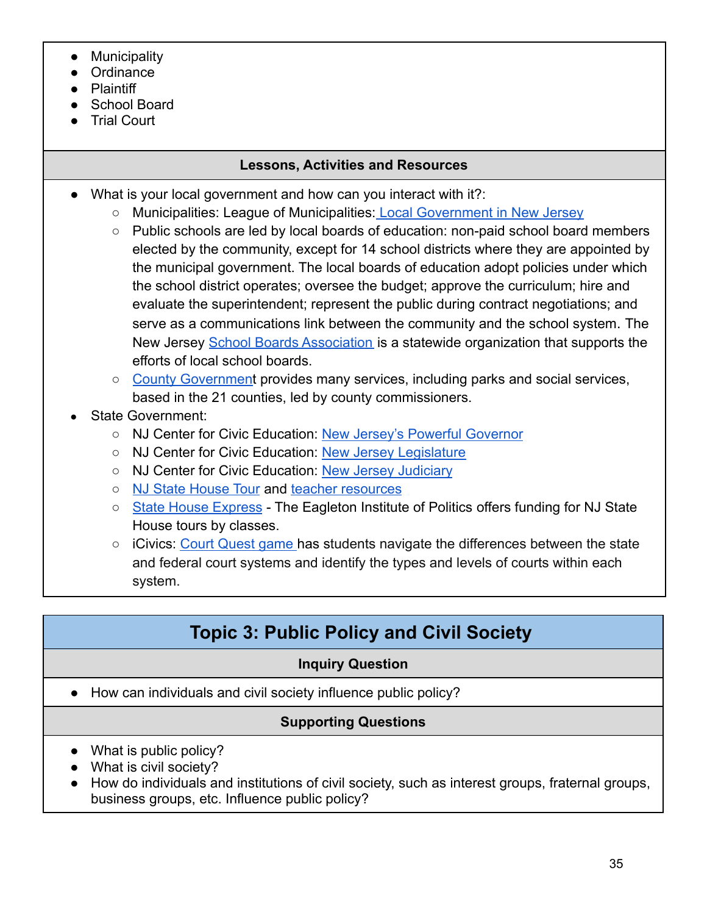- **Municipality**
- **Ordinance**
- **Plaintiff**
- School Board
- **Trial Court**

## **Lessons, Activities and Resources**

- What is your local government and how can you interact with it?:
	- Municipalities: League of Municipalities: [Local Government](https://www.njlm.org/644/Forms-of-Municipal-Government---New-Jers) in New Jersey
	- Public schools are led by local boards of education: non-paid school board members elected by the community, except for 14 school districts where they are appointed by the municipal government. The local boards of education adopt policies under which the school district operates; oversee the budget; approve the curriculum; hire and evaluate the superintendent; represent the public during contract negotiations; and serve as a communications link between the community and the school system. The New Jersey [School Boards Association](https://www.njsba.org/services/) is a statewide organization that supports the efforts of local school boards.
	- [County Government](https://nj.gov/nj/gov/county/localgov.html) provides many services, including parks and social services, based in the 21 counties, led by county commissioners.
- State Government:
	- NJ Center for Civic Education: [New Jersey's Powerful](https://civiced.rutgers.edu/documents/nj-lessons/for-grades-6-8/24-new-jersey-s-powerful-governor/file) Governor
	- NJ Center for Civic Education: [New Jersey Legislature](https://civiced.rutgers.edu/documents/nj-lessons/for-grades-6-8/23-new-jersey-s-legislature/file)
	- NJ Center for Civic Education: [New Jersey Judiciary](https://civiced.rutgers.edu/documents/nj-lessons/for-grades-6-8/25-new-jersey-s-judiciary/file)
	- [NJ State House Tour](https://njstatehousetours.org/tour/) and [teacher resources](https://njstatehousetours.org/tour/index.php/resources/)
	- [State House Express](https://cypp.rutgers.edu/for-educators/state-house-express/) The Eagleton Institute of Politics offers funding for NJ State House tours by classes.
	- iCivics: [Court Quest game](https://www.icivics.org/node/853/resource?emci=3c2f8580-3c48-ec11-9820-c896653b26c8&emdi=c7d6315c-9948-ec11-9820-c896653b26c8&ceid=22883228) has students navigate the differences between the state and federal court systems and identify the types and levels of courts within each system.

# **Topic 3: Public Policy and Civil Society**

## **Inquiry Question**

<span id="page-34-0"></span>● How can individuals and civil society influence public policy?

## **Supporting Questions**

- What is public policy?
- What is civil society?
- How do individuals and institutions of civil society, such as interest groups, fraternal groups, business groups, etc. Influence public policy?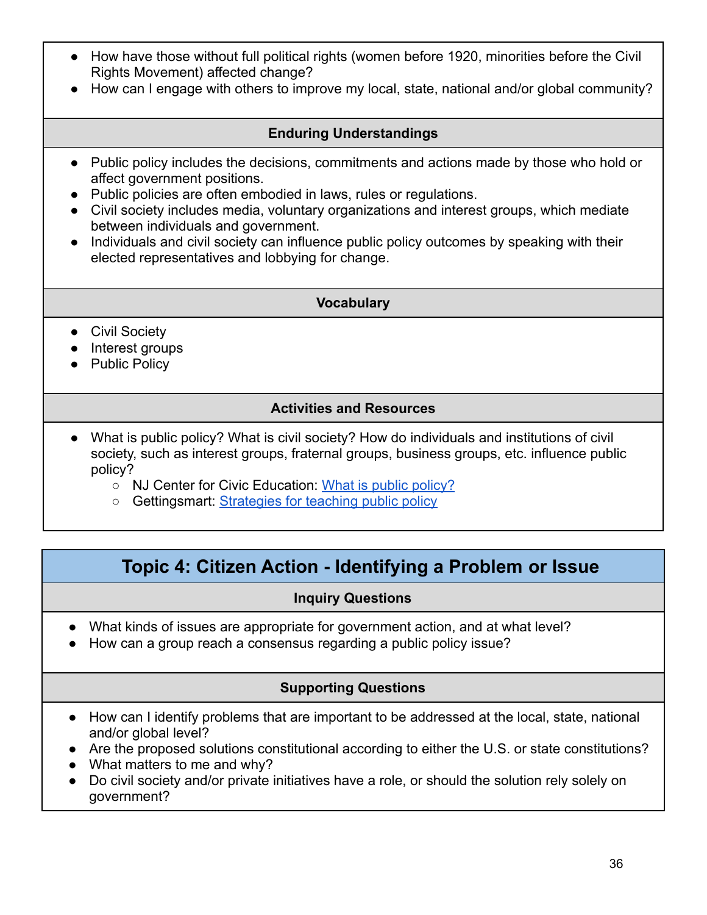- How have those without full political rights (women before 1920, minorities before the Civil Rights Movement) affected change?
- How can I engage with others to improve my local, state, national and/or global community?

### **Enduring Understandings**

- Public policy includes the decisions, commitments and actions made by those who hold or affect government positions.
- Public policies are often embodied in laws, rules or regulations.
- Civil society includes media, voluntary organizations and interest groups, which mediate between individuals and government.
- Individuals and civil society can influence public policy outcomes by speaking with their elected representatives and lobbying for change.

#### **Vocabulary**

- Civil Society
- Interest groups
- Public Policy

#### **Activities and Resources**

- What is public policy? What is civil society? How do individuals and institutions of civil society, such as interest groups, fraternal groups, business groups, etc. influence public policy?
	- NJ Center for Civic Education: [What is public policy?](https://civiced.rutgers.edu/documents/programs/project-citizen/71-what-is-public-policy%20W)
	- o Gettingsmart: [Strategies for teaching public policy](https://www.gettingsmart.com/2016/12/08/6-strategies-for-teaching-public-policy/)

## **Topic 4: Citizen Action - Identifying a Problem or Issue**

### **Inquiry Questions**

- <span id="page-35-0"></span>● What kinds of issues are appropriate for government action, and at what level?
- How can a group reach a consensus regarding a public policy issue?

## **Supporting Questions**

- How can I identify problems that are important to be addressed at the local, state, national and/or global level?
- Are the proposed solutions constitutional according to either the U.S. or state constitutions?
- What matters to me and why?
- Do civil society and/or private initiatives have a role, or should the solution rely solely on government?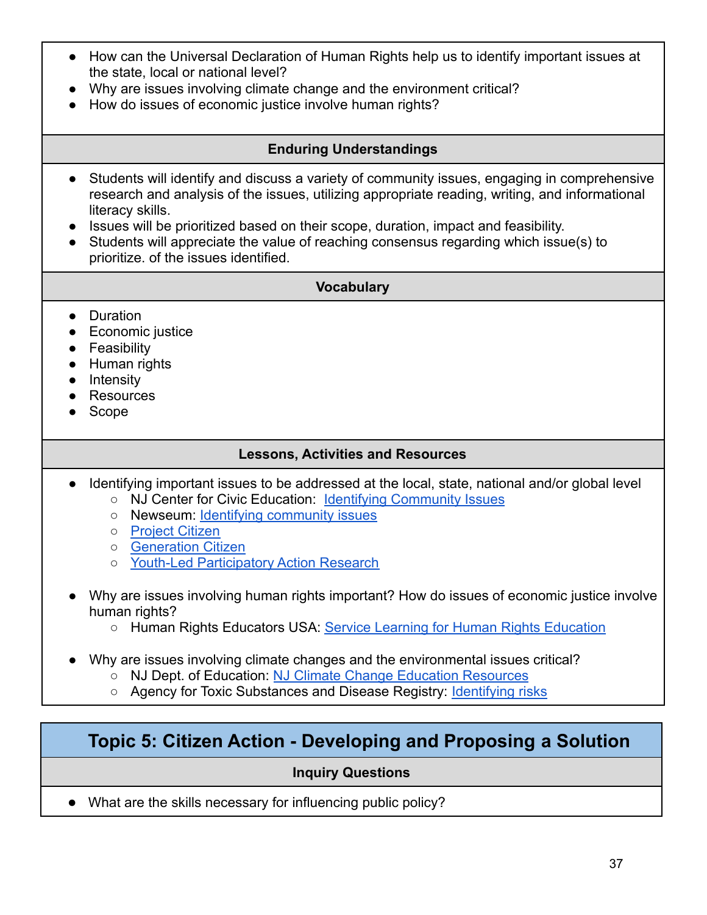- How can the Universal Declaration of Human Rights help us to identify important issues at the state, local or national level?
- Why are issues involving climate change and the environment critical?
- How do issues of economic justice involve human rights?

### **Enduring Understandings**

- Students will identify and discuss a variety of community issues, engaging in comprehensive research and analysis of the issues, utilizing appropriate reading, writing, and informational literacy skills.
- Issues will be prioritized based on their scope, duration, impact and feasibility.
- Students will appreciate the value of reaching consensus regarding which issue(s) to prioritize. of the issues identified.

#### **Vocabulary**

- Duration
- Economic justice
- Feasibility
- Human rights
- Intensity
- Resources
- Scope

### **Lessons, Activities and Resources**

- Identifying important issues to be addressed at the local, state, national and/or global level
	- [NJ Center for Civic Education:](https://civiced.rutgers.edu/programs/project-citizen) [Identifying Community](https://civiced.rutgers.edu/documents/programs/project-citizen/79-selecting-an-issue-1) Issues
	- Newseum: [Identifying community issues](https://newseumed.org/tools/lesson-plan/civil-rights-identifying-community-issues)
	- [Project Citizen](https://www.civiced.org/project-citizen)
	- [Generation Citizen](https://generationcitizen.org/our-programs/our-curriculum/)
	- [Youth-Led Participatory Action Research](http://yparhub.berkeley.edu/)
- Why are issues involving human rights important? How do issues of economic justice involve human rights?
	- Human Rights Educators USA: [Service Learning for Human](https://hreusa.org/hre-guide/service-learning) Rights Education
- Why are issues involving climate changes and the environmental issues critical?
	- NJ Dept. of Education: [NJ Climate Change Education](https://www.nj.gov/education/standards/climate/) Resources
	- Agency for Toxic Substances and Disease Registry: [Identifying risks](https://www.atsdr.cdc.gov/notrespassing/identifying_risks_lesson_plan.html)

## <span id="page-36-0"></span>**Topic 5: Citizen Action - Developing and Proposing a Solution**

### **Inquiry Questions**

● What are the skills necessary for influencing public policy?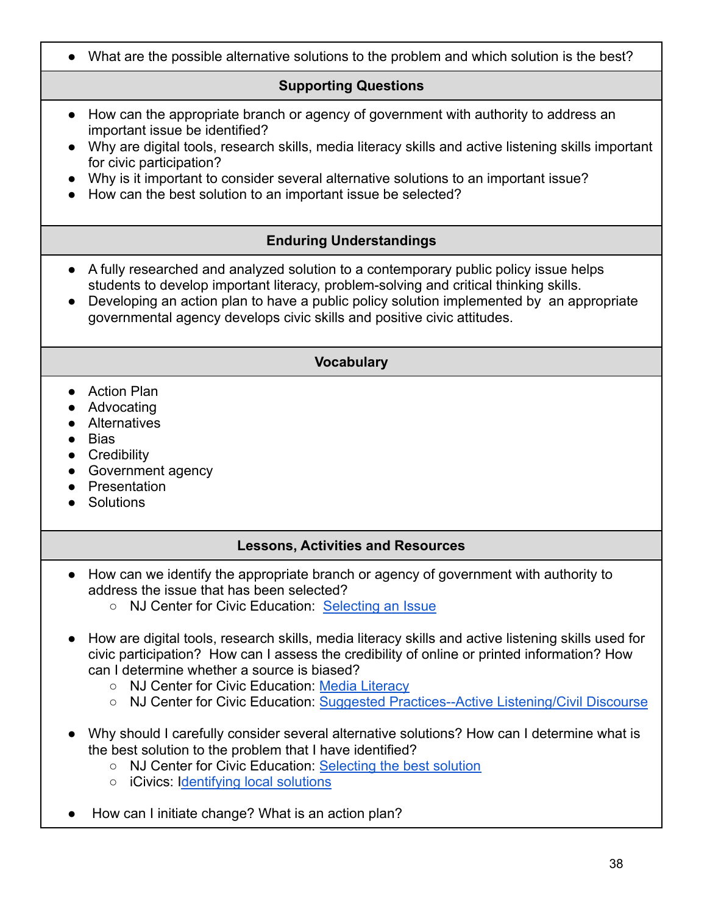● What are the possible alternative solutions to the problem and which solution is the best? **Supporting Questions** ● How can the appropriate branch or agency of government with authority to address an important issue be identified? ● Why are digital tools, research skills, media literacy skills and active listening skills important for civic participation? ● Why is it important to consider several alternative solutions to an important issue? ● How can the best solution to an important issue be selected? **Enduring Understandings** ● A fully researched and analyzed solution to a contemporary public policy issue helps students to develop important literacy, problem-solving and critical thinking skills. • Developing an action plan to have a public policy solution implemented by an appropriate governmental agency develops civic skills and positive civic attitudes. **Vocabulary** ● Action Plan ● Advocating ● Alternatives ● Bias **•** Credibility • Government agency ● Presentation ● Solutions **Lessons, Activities and Resources** ● How can we identify the appropriate branch or agency of government with authority to address the issue that has been selected? ○ NJ Center for Civic Education: [Selecting an Issue](https://civiced.rutgers.edu/documents/programs/project-citizen/79-selecting-an-issue-1) ● How are digital tools, research skills, media literacy skills and active listening skills used for civic participation? How can I assess the credibility of online or printed information? How can I determine whether a source is biased? ○ [NJ Center for Civic Education:](https://civiced.rutgers.edu/) [Media Literacy](https://civiced.rutgers.edu/resources/media-literacy) ○ [NJ Center for Civic Education:](https://civiced.rutgers.edu/resources/suggested-practices) [Suggested Practices--Active](https://civiced.rutgers.edu/resources/suggested-practices) Listening/Civil Discourse ● Why should I carefully consider several alternative solutions? How can I determine what is the best solution to the problem that I have identified? ○ NJ Center for Civic Education: [Selecting the best](https://civiced.rutgers.edu/documents/programs/project-citizen/80-selecting-the-best-solution-for-a-public-policy) solution ○ iCivics: [Identifying local solutions](https://www.icivics.org/teachers/lesson-plans/local-solutions) How can I initiate change? What is an action plan?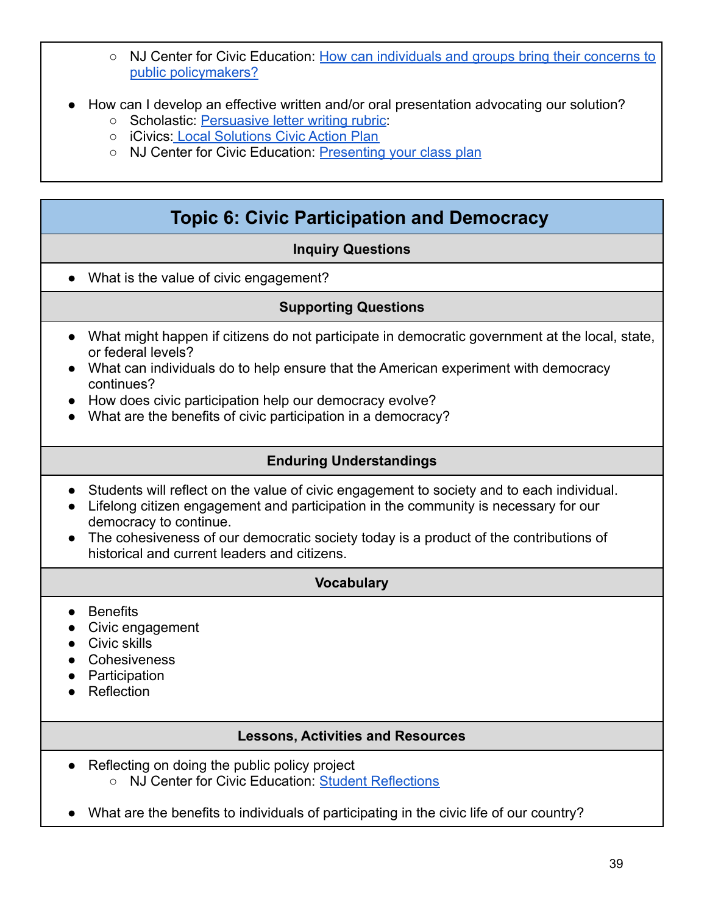- NJ Center for Civic Education: [How can individuals and groups bring their concerns to](https://civiced.rutgers.edu/documents/programs/project-citizen/78-how-can-individuals-and-groups-bring-their-concerns-to-public-policymakers) [public policymakers?](https://civiced.rutgers.edu/documents/programs/project-citizen/78-how-can-individuals-and-groups-bring-their-concerns-to-public-policymakers)
- How can I develop an effective written and/or oral presentation advocating our solution?
	- Scholastic: [Persuasive letter writing rubric:](http://teacher.scholastic.com/LessonPlans/LtrWritg_Rubric.pdf)
	- **iCivics: [Local Solutions Civic Action Plan](https://www.icivics.org/teachers/lesson-plans/local-solutions)**
	- NJ Center for Civic Education: [Presenting your class](https://civiced.rutgers.edu/documents/programs/project-citizen/102-presenting-your-class-plan/file) plan

## **Topic 6: Civic Participation and Democracy**

#### **Inquiry Questions**

<span id="page-38-0"></span>● What is the value of civic engagement?

#### **Supporting Questions**

- What might happen if citizens do not participate in democratic government at the local, state, or federal levels?
- What can individuals do to help ensure that the American experiment with democracy continues?
- How does civic participation help our democracy evolve?
- What are the benefits of civic participation in a democracy?

#### **Enduring Understandings**

- Students will reflect on the value of civic engagement to society and to each individual.
- Lifelong citizen engagement and participation in the community is necessary for our democracy to continue.
- The cohesiveness of our democratic society today is a product of the contributions of historical and current leaders and citizens.

#### **Vocabulary**

- Benefits
- Civic engagement
- Civic skills
- Cohesiveness
- Participation
- Reflection

#### **Lessons, Activities and Resources**

- Reflecting on doing the public policy project
	- NJ Center for Civic Education: [Student Reflections](https://civiced.rutgers.edu/documents/programs/project-citizen/75-student-reflections)
- What are the benefits to individuals of participating in the civic life of our country?